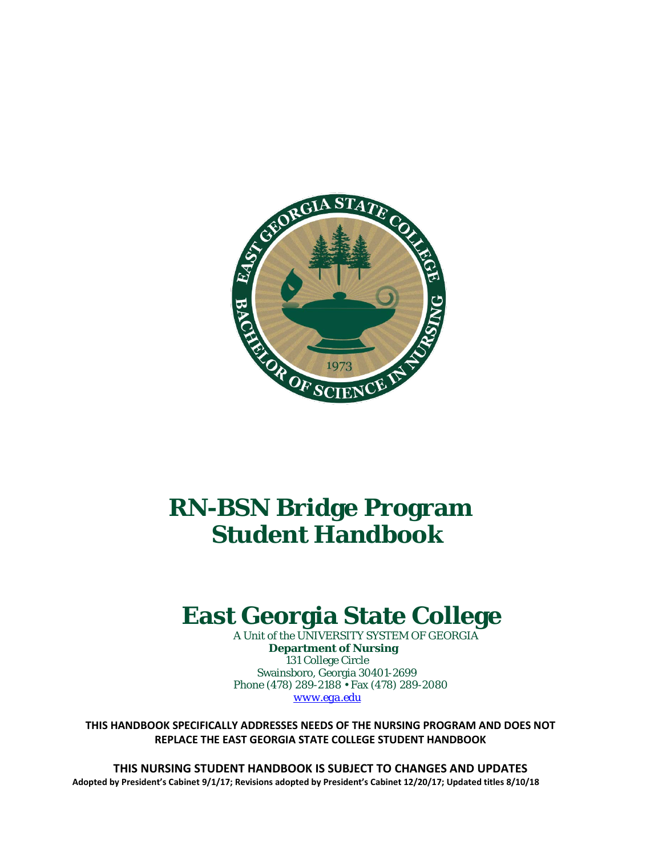

# **RN-BSN Bridge Program Student Handbook**

# **East Georgia State College**

 A Unit of the UNIVERSITY SYSTEM OF GEORGIA  **Department of Nursing** 131 College Circle Swainsboro, Georgia 30401-2699 Phone (478) 289-2188 • Fax (478) 289-2080  *[www.ega.edu](http://www.ega.edu/)*

**THIS HANDBOOK SPECIFICALLY ADDRESSES NEEDS OF THE NURSING PROGRAM AND DOES NOT REPLACE THE EAST GEORGIA STATE COLLEGE STUDENT HANDBOOK**

**THIS NURSING STUDENT HANDBOOK IS SUBJECT TO CHANGES AND UPDATES Adopted by President's Cabinet 9/1/17; Revisions adopted by President's Cabinet 12/20/17; Updated titles 8/10/18**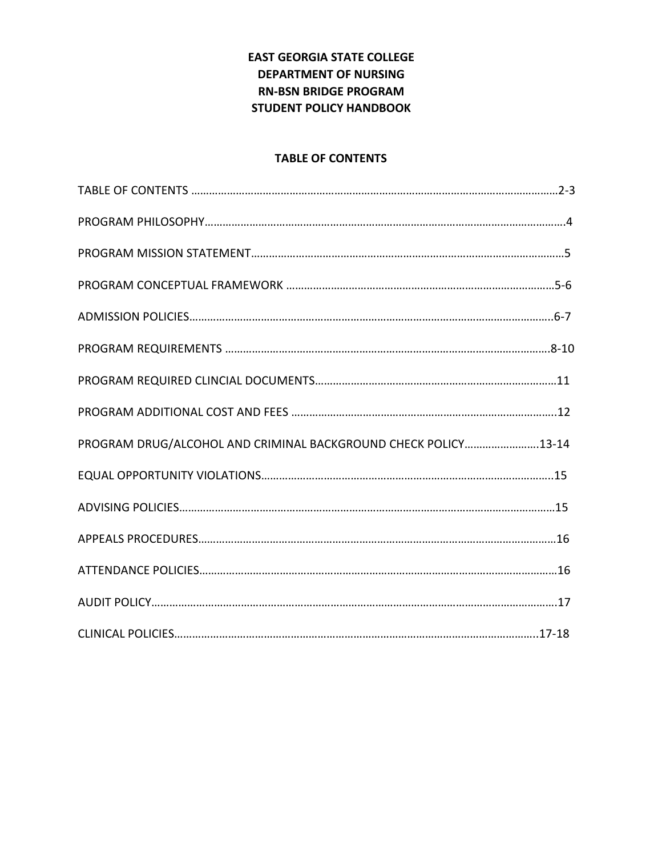# **EAST GEORGIA STATE COLLEGE DEPARTMENT OF NURSING RN-BSN BRIDGE PROGRAM STUDENT POLICY HANDBOOK**

## **TABLE OF CONTENTS**

| PROGRAM DRUG/ALCOHOL AND CRIMINAL BACKGROUND CHECK POLICY13-14 |  |
|----------------------------------------------------------------|--|
|                                                                |  |
|                                                                |  |
|                                                                |  |
|                                                                |  |
|                                                                |  |
|                                                                |  |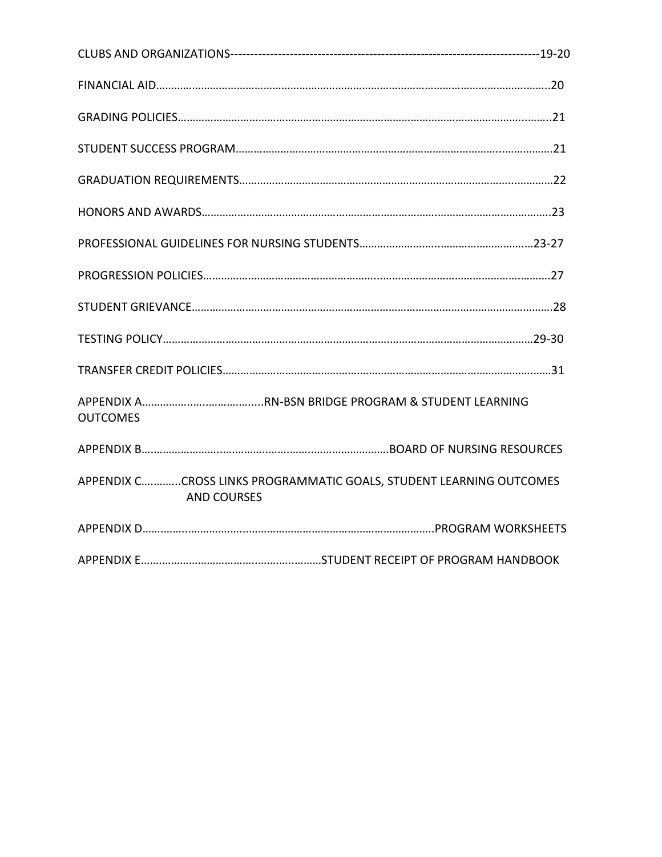| <b>OUTCOMES</b>                                                                           |  |
|-------------------------------------------------------------------------------------------|--|
|                                                                                           |  |
| APPENDIX CCROSS LINKS PROGRAMMATIC GOALS, STUDENT LEARNING OUTCOMES<br><b>AND COURSES</b> |  |
|                                                                                           |  |
|                                                                                           |  |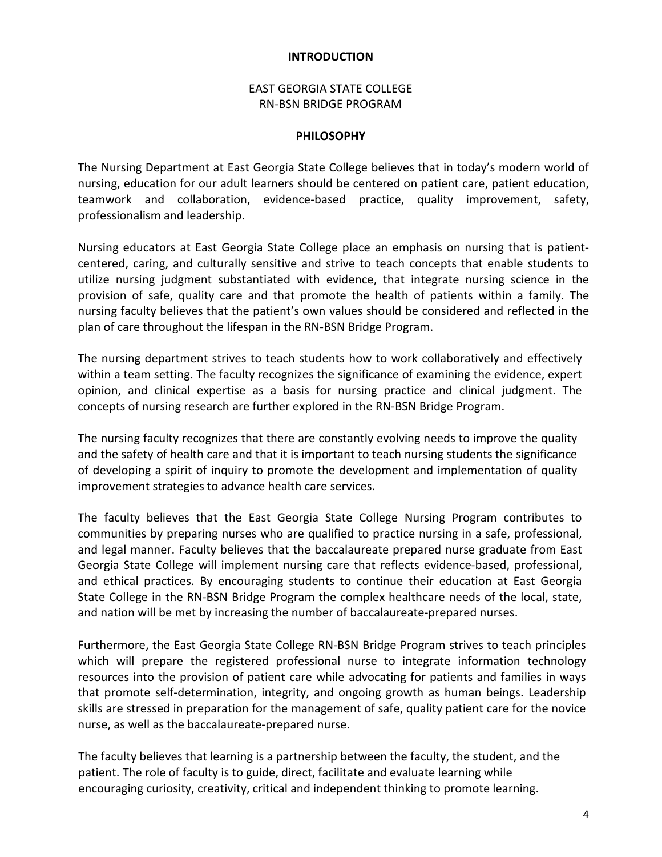#### **INTRODUCTION**

## EAST GEORGIA STATE COLLEGE RN-BSN BRIDGE PROGRAM

#### **PHILOSOPHY**

The Nursing Department at East Georgia State College believes that in today's modern world of nursing, education for our adult learners should be centered on patient care, patient education, teamwork and collaboration, evidence-based practice, quality improvement, safety, professionalism and leadership.

Nursing educators at East Georgia State College place an emphasis on nursing that is patientcentered, caring, and culturally sensitive and strive to teach concepts that enable students to utilize nursing judgment substantiated with evidence, that integrate nursing science in the provision of safe, quality care and that promote the health of patients within a family. The nursing faculty believes that the patient's own values should be considered and reflected in the plan of care throughout the lifespan in the RN-BSN Bridge Program.

The nursing department strives to teach students how to work collaboratively and effectively within a team setting. The faculty recognizes the significance of examining the evidence, expert opinion, and clinical expertise as a basis for nursing practice and clinical judgment. The concepts of nursing research are further explored in the RN-BSN Bridge Program.

The nursing faculty recognizes that there are constantly evolving needs to improve the quality and the safety of health care and that it is important to teach nursing students the significance of developing a spirit of inquiry to promote the development and implementation of quality improvement strategies to advance health care services.

The faculty believes that the East Georgia State College Nursing Program contributes to communities by preparing nurses who are qualified to practice nursing in a safe, professional, and legal manner. Faculty believes that the baccalaureate prepared nurse graduate from East Georgia State College will implement nursing care that reflects evidence-based, professional, and ethical practices. By encouraging students to continue their education at East Georgia State College in the RN-BSN Bridge Program the complex healthcare needs of the local, state, and nation will be met by increasing the number of baccalaureate-prepared nurses.

Furthermore, the East Georgia State College RN-BSN Bridge Program strives to teach principles which will prepare the registered professional nurse to integrate information technology resources into the provision of patient care while advocating for patients and families in ways that promote self-determination, integrity, and ongoing growth as human beings. Leadership skills are stressed in preparation for the management of safe, quality patient care for the novice nurse, as well as the baccalaureate-prepared nurse.

 The faculty believes that learning is a partnership between the faculty, the student, and the patient. The role of faculty is to guide, direct, facilitate and evaluate learning while encouraging curiosity, creativity, critical and independent thinking to promote learning.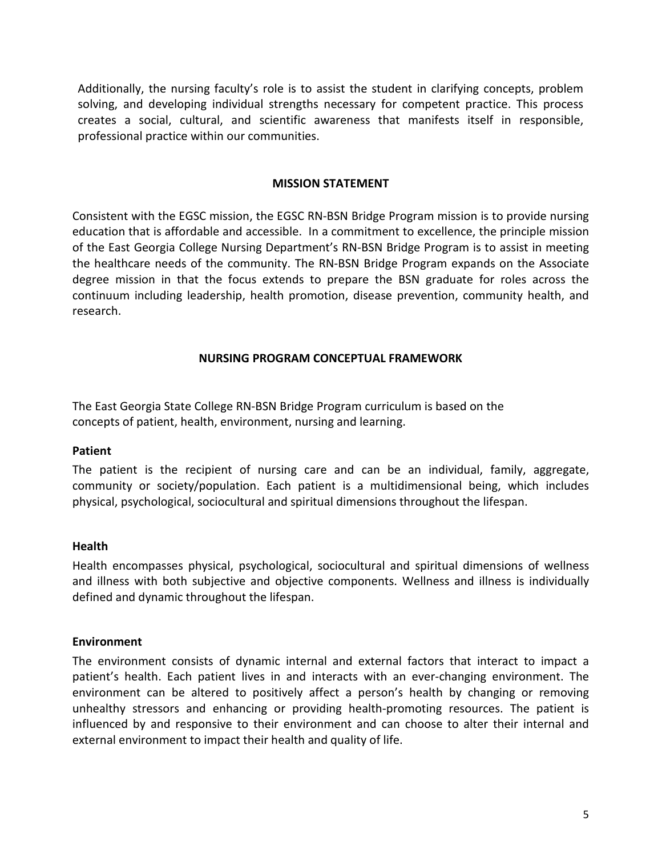Additionally, the nursing faculty's role is to assist the student in clarifying concepts, problem solving, and developing individual strengths necessary for competent practice. This process creates a social, cultural, and scientific awareness that manifests itself in responsible, professional practice within our communities.

#### **MISSION STATEMENT**

Consistent with the EGSC mission, the EGSC RN-BSN Bridge Program mission is to provide nursing education that is affordable and accessible. In a commitment to excellence, the principle mission of the East Georgia College Nursing Department's RN-BSN Bridge Program is to assist in meeting the healthcare needs of the community. The RN-BSN Bridge Program expands on the Associate degree mission in that the focus extends to prepare the BSN graduate for roles across the continuum including leadership, health promotion, disease prevention, community health, and research.

#### **NURSING PROGRAM CONCEPTUAL FRAMEWORK**

The East Georgia State College RN-BSN Bridge Program curriculum is based on the concepts of patient, health, environment, nursing and learning.

#### **Patient**

The patient is the recipient of nursing care and can be an individual, family, aggregate, community or society/population. Each patient is a multidimensional being, which includes physical, psychological, sociocultural and spiritual dimensions throughout the lifespan.

#### **Health**

Health encompasses physical, psychological, sociocultural and spiritual dimensions of wellness and illness with both subjective and objective components. Wellness and illness is individually defined and dynamic throughout the lifespan.

#### **Environment**

The environment consists of dynamic internal and external factors that interact to impact a patient's health. Each patient lives in and interacts with an ever-changing environment. The environment can be altered to positively affect a person's health by changing or removing unhealthy stressors and enhancing or providing health-promoting resources. The patient is influenced by and responsive to their environment and can choose to alter their internal and external environment to impact their health and quality of life.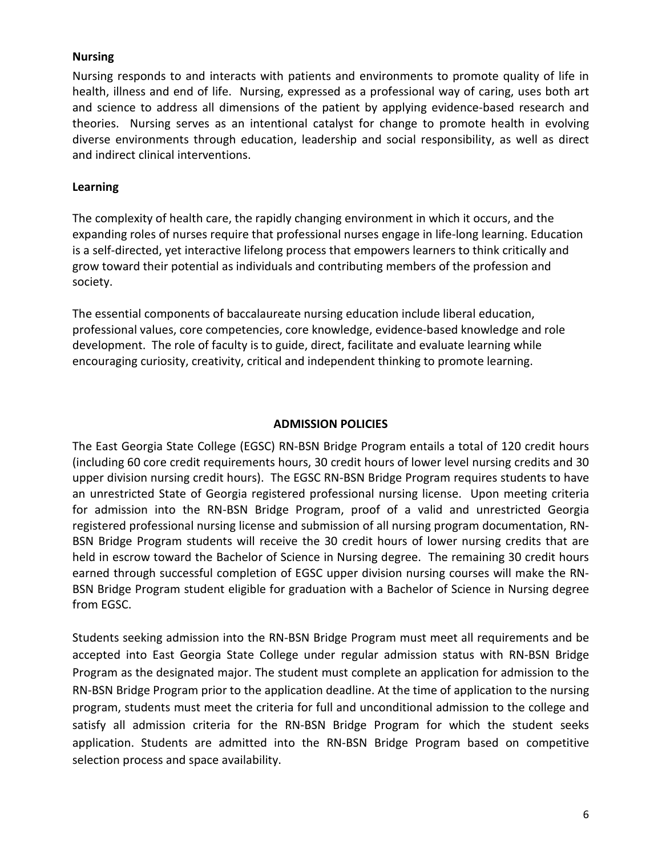## **Nursing**

Nursing responds to and interacts with patients and environments to promote quality of life in health, illness and end of life. Nursing, expressed as a professional way of caring, uses both art and science to address all dimensions of the patient by applying evidence-based research and theories. Nursing serves as an intentional catalyst for change to promote health in evolving diverse environments through education, leadership and social responsibility, as well as direct and indirect clinical interventions.

## **Learning**

The complexity of health care, the rapidly changing environment in which it occurs, and the expanding roles of nurses require that professional nurses engage in life-long learning. Education is a self-directed, yet interactive lifelong process that empowers learners to think critically and grow toward their potential as individuals and contributing members of the profession and society.

The essential components of baccalaureate nursing education include liberal education, professional values, core competencies, core knowledge, evidence-based knowledge and role development. The role of faculty is to guide, direct, facilitate and evaluate learning while encouraging curiosity, creativity, critical and independent thinking to promote learning.

## **ADMISSION POLICIES**

The East Georgia State College (EGSC) RN-BSN Bridge Program entails a total of 120 credit hours (including 60 core credit requirements hours, 30 credit hours of lower level nursing credits and 30 upper division nursing credit hours). The EGSC RN-BSN Bridge Program requires students to have an unrestricted State of Georgia registered professional nursing license. Upon meeting criteria for admission into the RN-BSN Bridge Program, proof of a valid and unrestricted Georgia registered professional nursing license and submission of all nursing program documentation, RN-BSN Bridge Program students will receive the 30 credit hours of lower nursing credits that are held in escrow toward the Bachelor of Science in Nursing degree. The remaining 30 credit hours earned through successful completion of EGSC upper division nursing courses will make the RN-BSN Bridge Program student eligible for graduation with a Bachelor of Science in Nursing degree from EGSC.

Students seeking admission into the RN-BSN Bridge Program must meet all requirements and be accepted into East Georgia State College under regular admission status with RN-BSN Bridge Program as the designated major. The student must complete an application for admission to the RN-BSN Bridge Program prior to the application deadline. At the time of application to the nursing program, students must meet the criteria for full and unconditional admission to the college and satisfy all admission criteria for the RN-BSN Bridge Program for which the student seeks application. Students are admitted into the RN-BSN Bridge Program based on competitive selection process and space availability.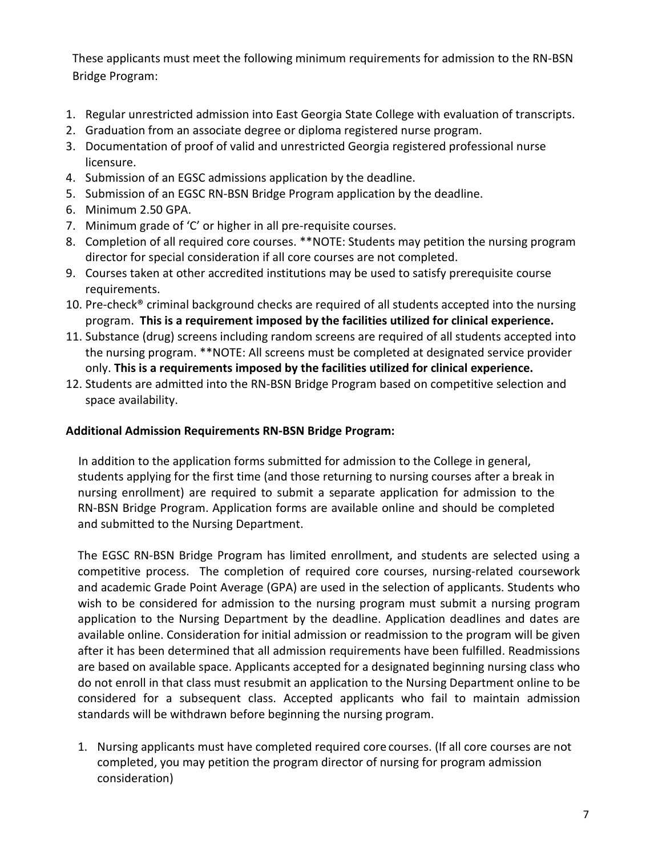These applicants must meet the following minimum requirements for admission to the RN-BSN Bridge Program:

- 1. Regular unrestricted [admission into East Georgia State College](http://www.ega.edu/admissions/admissions_start_here) with evaluation of transcripts.
- 2. Graduation from an associate degree or diploma registered nurse program.
- 3. Documentation of proof of valid and unrestricted Georgia registered professional nurse licensure.
- 4. Submission of an [EGSC admissions application](https://gafutures.xap.com/applications/usg/usg_common_app_short/introduction.asp?application_id=2783) by the deadline.
- 5. Submission of an [EGSC RN-BSN Bridge](http://www.ega.edu/nursing/nursing-app) Program application by the deadline.
- 6. Minimum 2.50 GPA.
- 7. Minimum grade of 'C' or higher in all pre-requisite courses.
- 8. Completion of all required core courses. \*\*NOTE: Students may petition the nursing program director for special consideration if all core courses are not completed.
- 9. Courses taken at other accredited institutions may be used to satisfy prerequisite course requirements.
- 10. Pre-check® criminal background checks are required of all students accepted into the nursing program. **This is a requirement imposed by the facilities utilized for clinical experience.**
- 11. Substance (drug) screens including random screens are required of all students accepted into the nursing program. \*\*NOTE: All screens must be completed at designated service provider only. **This is a requirements imposed by the facilities utilized for clinical experience.**
- 12. Students are admitted into the RN-BSN Bridge Program based on competitive selection and space availability.

## **Additional Admission Requirements RN-BSN Bridge Program:**

 In addition to the application forms submitted for admission to the College in general, students applying for the first time (and those returning to nursing courses after a break in nursing enrollment) are required to submit a separate application for admission to the RN-BSN Bridge Program. Application forms are available online and should be completed and submitted to the Nursing Department.

The EGSC RN-BSN Bridge Program has limited enrollment, and students are selected using a competitive process. The completion of required core courses, nursing-related coursework and academic Grade Point Average (GPA) are used in the selection of applicants. Students who wish to be considered for admission to the nursing program must submit a nursing program application to the Nursing Department by the deadline. Application deadlines and dates are available online. Consideration for initial admission or readmission to the program will be given after it has been determined that all admission requirements have been fulfilled. Readmissions are based on available space. Applicants accepted for a designated beginning nursing class who do not enroll in that class must resubmit an application to the Nursing Department online to be considered for a subsequent class. Accepted applicants who fail to maintain admission standards will be withdrawn before beginning the nursing program.

1. Nursing applicants must have completed required core courses. (If all core courses are not completed, you may petition the program director of nursing for program admission consideration)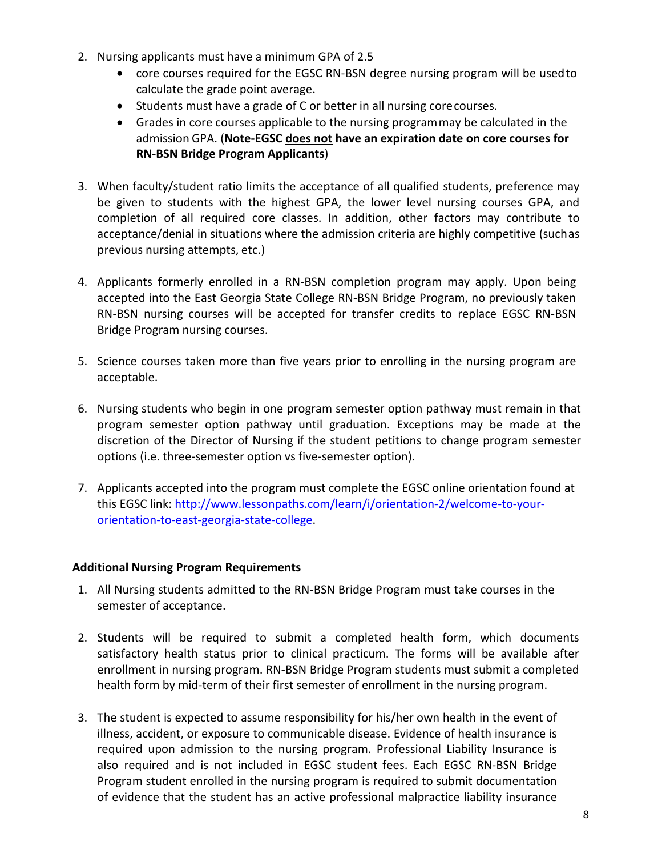- 2. Nursing applicants must have a minimum GPA of 2.5
	- core courses required for the EGSC RN-BSN degree nursing program will be usedto calculate the grade point average.
	- Students must have a grade of C or better in all nursing corecourses.
	- Grades in core courses applicable to the nursing programmay be calculated in the admission GPA. (**Note-EGSC does not have an expiration date on core courses for RN-BSN Bridge Program Applicants**)
- 3. When faculty/student ratio limits the acceptance of all qualified students, preference may be given to students with the highest GPA, the lower level nursing courses GPA, and completion of all required core classes. In addition, other factors may contribute to acceptance/denial in situations where the admission criteria are highly competitive (suchas previous nursing attempts, etc.)
- 4. Applicants formerly enrolled in a RN-BSN completion program may apply. Upon being accepted into the East Georgia State College RN-BSN Bridge Program, no previously taken RN-BSN nursing courses will be accepted for transfer credits to replace EGSC RN-BSN Bridge Program nursing courses.
- 5. Science courses taken more than five years prior to enrolling in the nursing program are acceptable.
- 6. Nursing students who begin in one program semester option pathway must remain in that program semester option pathway until graduation. Exceptions may be made at the discretion of the Director of Nursing if the student petitions to change program semester options (i.e. three-semester option vs five-semester option).
- 7. Applicants accepted into the program must complete the EGSC online orientation found at this EGSC link: [http://www.lessonpaths.com/learn/i/orientation-2/welcome-to-your](https://paws.ega.edu/owa/redir.aspx?C=WKCIa9S8mUS08SOwdemOdsRGlH_V2dQI3P8ArZTTMumz5mRaVLtqJKWGDVTa_qmqFU6fkuYw_S0.&URL=http%3a%2f%2fwww.lessonpaths.com%2flearn%2fi%2forientation-2%2fwelcome-to-your-orientation-to-east-georgia-state-college)[orientation-to-east-georgia-state-college.](https://paws.ega.edu/owa/redir.aspx?C=WKCIa9S8mUS08SOwdemOdsRGlH_V2dQI3P8ArZTTMumz5mRaVLtqJKWGDVTa_qmqFU6fkuYw_S0.&URL=http%3a%2f%2fwww.lessonpaths.com%2flearn%2fi%2forientation-2%2fwelcome-to-your-orientation-to-east-georgia-state-college)

## **Additional Nursing Program Requirements**

- 1. All Nursing students admitted to the RN-BSN Bridge Program must take courses in the semester of acceptance.
- 2. Students will be required to submit a completed health form, which documents satisfactory health status prior to clinical practicum. The forms will be available after enrollment in nursing program. RN-BSN Bridge Program students must submit a completed health form by mid-term of their first semester of enrollment in the nursing program.
- 3. The student is expected to assume responsibility for his/her own health in the event of illness, accident, or exposure to communicable disease. Evidence of health insurance is required upon admission to the nursing program. Professional Liability Insurance is also required and is not included in EGSC student fees. Each EGSC RN-BSN Bridge Program student enrolled in the nursing program is required to submit documentation of evidence that the student has an active professional malpractice liability insurance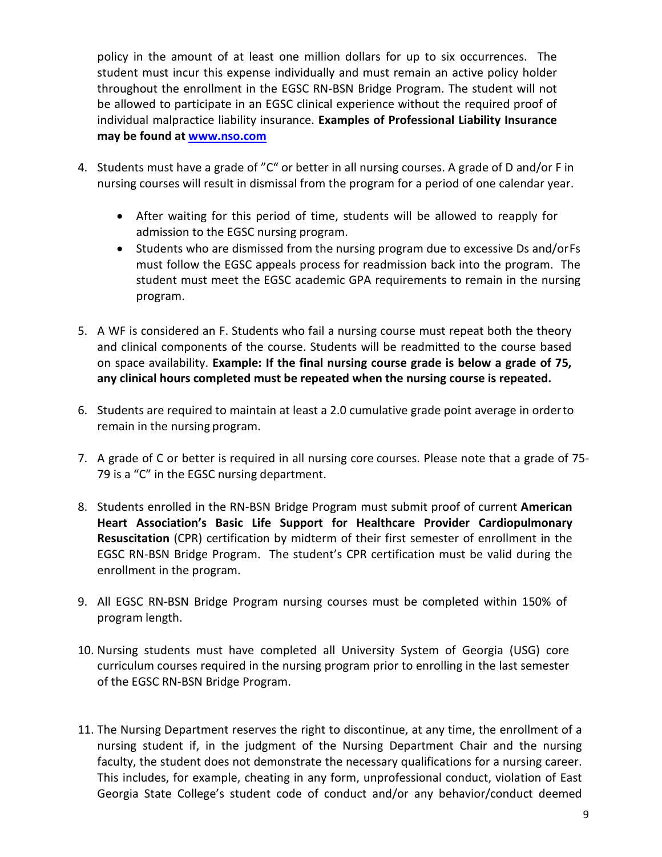policy in the amount of at least one million dollars for up to six occurrences. The student must incur this expense individually and must remain an active policy holder throughout the enrollment in the EGSC RN-BSN Bridge Program. The student will not be allowed to participate in an EGSC clinical experience without the required proof of individual malpractice liability insurance. **Examples of Professional Liability Insurance may be found at [www.nso.com](http://www.nso.com/)**

- 4. Students must have a grade of "C" or better in all nursing courses. A grade of D and/or F in nursing courses will result in dismissal from the program for a period of one calendar year.
	- After waiting for this period of time, students will be allowed to reapply for admission to the EGSC nursing program.
	- Students who are dismissed from the nursing program due to excessive Ds and/orFs must follow the EGSC appeals process for readmission back into the program. The student must meet the EGSC academic GPA requirements to remain in the nursing program.
- 5. A WF is considered an F. Students who fail a nursing course must repeat both the theory and clinical components of the course. Students will be readmitted to the course based on space availability. **Example: If the final nursing course grade is below a grade of 75, any clinical hours completed must be repeated when the nursing course is repeated.**
- 6. Students are required to maintain at least a 2.0 cumulative grade point average in orderto remain in the nursing program.
- 7. A grade of C or better is required in all nursing core courses. Please note that a grade of 75- 79 is a "C" in the EGSC nursing department.
- 8. Students enrolled in the RN-BSN Bridge Program must submit proof of current **American Heart Association's Basic Life Support for Healthcare Provider Cardiopulmonary Resuscitation** (CPR) certification by midterm of their first semester of enrollment in the EGSC RN-BSN Bridge Program. The student's CPR certification must be valid during the enrollment in the program.
- 9. All EGSC RN-BSN Bridge Program nursing courses must be completed within 150% of program length.
- 10. Nursing students must have completed all University System of Georgia (USG) core curriculum courses required in the nursing program prior to enrolling in the last semester of the EGSC RN-BSN Bridge Program.
- 11. The Nursing Department reserves the right to discontinue, at any time, the enrollment of a nursing student if, in the judgment of the Nursing Department Chair and the nursing faculty, the student does not demonstrate the necessary qualifications for a nursing career. This includes, for example, cheating in any form, unprofessional conduct, violation of East Georgia State College's student code of conduct and/or any behavior/conduct deemed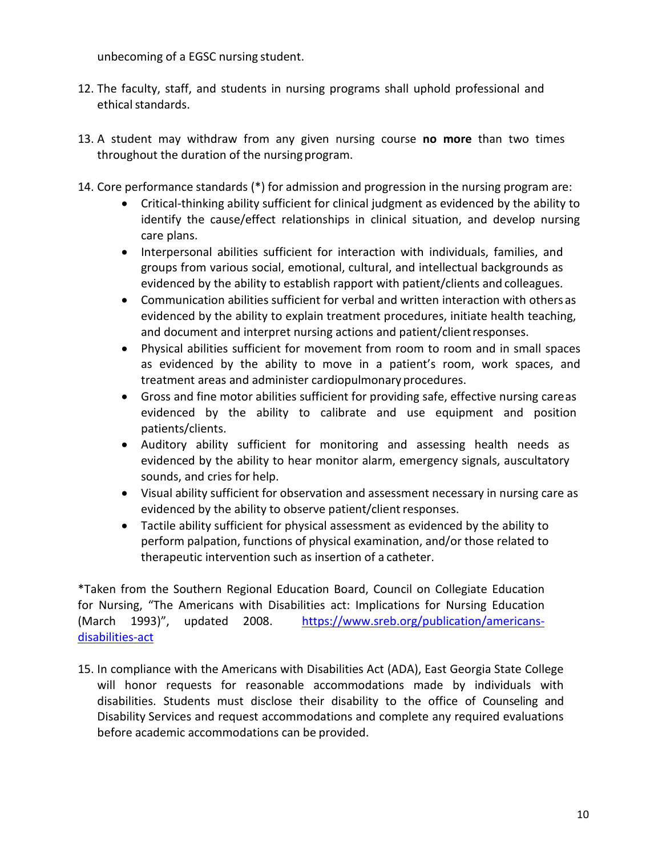unbecoming of a EGSC nursing student.

- 12. The faculty, staff, and students in nursing programs shall uphold professional and ethical standards.
- 13. A student may withdraw from any given nursing course **no more** than two times throughout the duration of the nursing program.
- 14. Core performance standards (\*) for admission and progression in the nursing program are:
	- Critical-thinking ability sufficient for clinical judgment as evidenced by the ability to identify the cause/effect relationships in clinical situation, and develop nursing care plans.
	- Interpersonal abilities sufficient for interaction with individuals, families, and groups from various social, emotional, cultural, and intellectual backgrounds as evidenced by the ability to establish rapport with patient/clients and colleagues.
	- Communication abilities sufficient for verbal and written interaction with othersas evidenced by the ability to explain treatment procedures, initiate health teaching, and document and interpret nursing actions and patient/clientresponses.
	- Physical abilities sufficient for movement from room to room and in small spaces as evidenced by the ability to move in a patient's room, work spaces, and treatment areas and administer cardiopulmonary procedures.
	- Gross and fine motor abilities sufficient for providing safe, effective nursing careas evidenced by the ability to calibrate and use equipment and position patients/clients.
	- Auditory ability sufficient for monitoring and assessing health needs as evidenced by the ability to hear monitor alarm, emergency signals, auscultatory sounds, and cries for help.
	- Visual ability sufficient for observation and assessment necessary in nursing care as evidenced by the ability to observe patient/client responses.
	- Tactile ability sufficient for physical assessment as evidenced by the ability to perform palpation, functions of physical examination, and/or those related to therapeutic intervention such as insertion of a catheter.

\*Taken from the Southern Regional Education Board, Council on Collegiate Education for Nursing, "The Americans with Disabilities act: Implications for Nursing Education (March 1993)", updated 2008. [https://www.sreb.org/publication/americans](https://www.sreb.org/publication/americans-disabilities-act)[disabilities-act](https://www.sreb.org/publication/americans-disabilities-act)

15. In compliance with the Americans with Disabilities Act (ADA), East Georgia State College will honor requests for reasonable accommodations made by individuals with disabilities. Students must disclose their disability to the office of Counseling and Disability Services and request accommodations and complete any required evaluations before academic accommodations can be provided.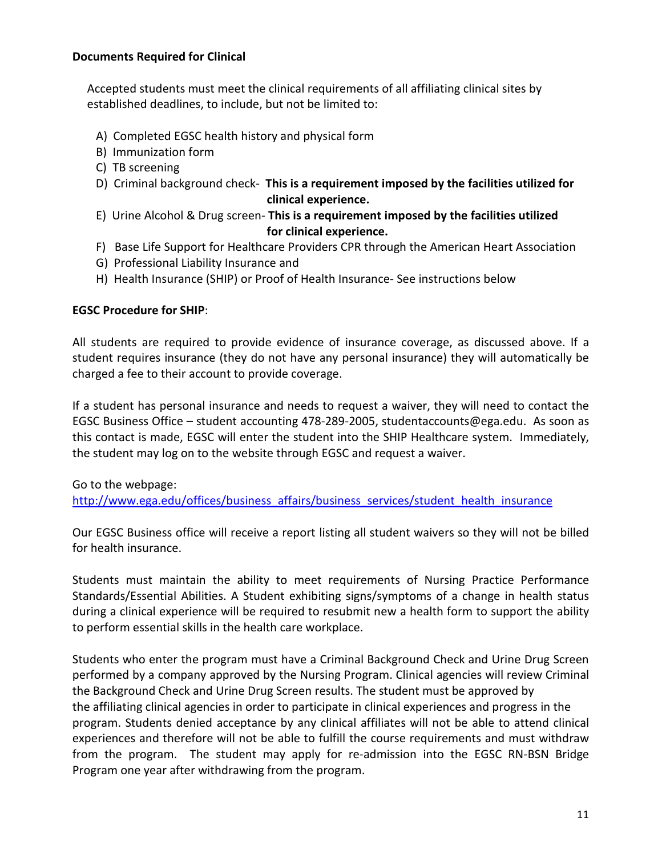## **Documents Required for Clinical**

 Accepted students must meet the clinical requirements of all affiliating clinical sites by established deadlines, to include, but not be limited to:

- A) Completed EGSC health history and physical form
- B) Immunization form
- C) TB screening
- D) Criminal background check- **This is a requirement imposed by the facilities utilized for clinical experience.**
- E) Urine Alcohol & Drug screen- **This is a requirement imposed by the facilities utilized for clinical experience.**
- F) Base Life Support for Healthcare Providers CPR through the American Heart Association
- G) Professional Liability Insurance and
- H) Health Insurance (SHIP) or Proof of Health Insurance- See instructions below

#### **EGSC Procedure for SHIP**:

All students are required to provide evidence of insurance coverage, as discussed above. If a student requires insurance (they do not have any personal insurance) they will automatically be charged a fee to their account to provide coverage.

If a student has personal insurance and needs to request a waiver, they will need to contact the EGSC Business Office – student accounting 478-289-2005, studentaccounts@ega.edu. As soon as this contact is made, EGSC will enter the student into the SHIP Healthcare system. Immediately, the student may log on to the website through EGSC and request a waiver.

Go to the webpage:

[http://www.ega.edu/offices/business\\_affairs/business\\_services/student\\_health\\_insurance](http://www.ega.edu/offices/business_affairs/business_services/student_health_insurance)

Our EGSC Business office will receive a report listing all student waivers so they will not be billed for health insurance.

Students must maintain the ability to meet requirements of Nursing Practice Performance Standards/Essential Abilities. A Student exhibiting signs/symptoms of a change in health status during a clinical experience will be required to resubmit new a health form to support the ability to perform essential skills in the health care workplace.

Students who enter the program must have a Criminal Background Check and Urine Drug Screen performed by a company approved by the Nursing Program. Clinical agencies will review Criminal the Background Check and Urine Drug Screen results. The student must be approved by the affiliating clinical agencies in order to participate in clinical experiences and progress in the program. Students denied acceptance by any clinical affiliates will not be able to attend clinical experiences and therefore will not be able to fulfill the course requirements and must withdraw from the program. The student may apply for re-admission into the EGSC RN-BSN Bridge Program one year after withdrawing from the program.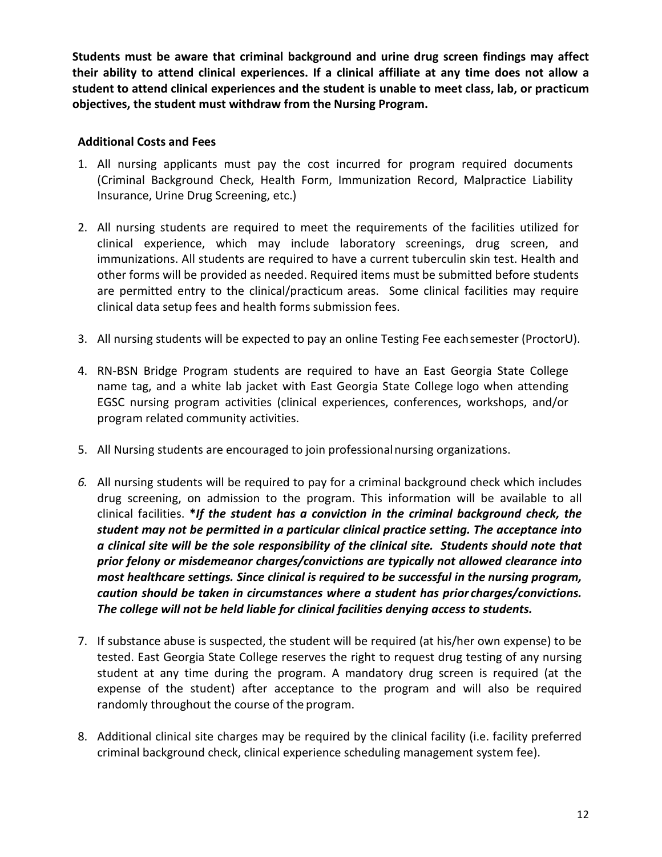**Students must be aware that criminal background and urine drug screen findings may affect their ability to attend clinical experiences. If a clinical affiliate at any time does not allow a student to attend clinical experiences and the student is unable to meet class, lab, or practicum objectives, the student must withdraw from the Nursing Program.**

## **Additional Costs and Fees**

- 1. All nursing applicants must pay the cost incurred for program required documents (Criminal Background Check, Health Form, Immunization Record, Malpractice Liability Insurance, Urine Drug Screening, etc.)
- 2. All nursing students are required to meet the requirements of the facilities utilized for clinical experience, which may include laboratory screenings, drug screen, and immunizations. All students are required to have a current tuberculin skin test. Health and other forms will be provided as needed. Required items must be submitted before students are permitted entry to the clinical/practicum areas. Some clinical facilities may require clinical data setup fees and health forms submission fees.
- 3. All nursing students will be expected to pay an online Testing Fee eachsemester (ProctorU).
- 4. RN-BSN Bridge Program students are required to have an East Georgia State College name tag, and a white lab jacket with East Georgia State College logo when attending EGSC nursing program activities (clinical experiences, conferences, workshops, and/or program related community activities.
- 5. All Nursing students are encouraged to join professionalnursing organizations.
- *6.* All nursing students will be required to pay for a criminal background check which includes drug screening, on admission to the program. This information will be available to all clinical facilities. **\****If the student has a conviction in the criminal background check, the student may not be permitted in a particular clinical practice setting. The acceptance into a clinical site will be the sole responsibility of the clinical site. Students should note that prior felony or misdemeanor charges/convictions are typically not allowed clearance into most healthcare settings. Since clinical is required to be successful in the nursing program, caution should be taken in circumstances where a student has prior charges/convictions. The college will not be held liable for clinical facilities denying access to students.*
- 7. If substance abuse is suspected, the student will be required (at his/her own expense) to be tested. East Georgia State College reserves the right to request drug testing of any nursing student at any time during the program. A mandatory drug screen is required (at the expense of the student) after acceptance to the program and will also be required randomly throughout the course of the program.
- 8. Additional clinical site charges may be required by the clinical facility (i.e. facility preferred criminal background check, clinical experience scheduling management system fee).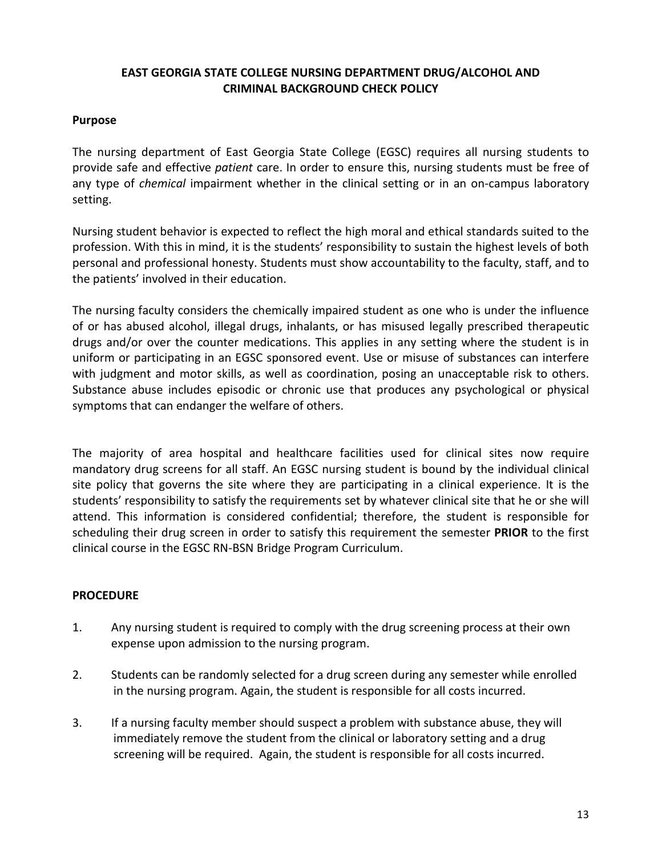## **EAST GEORGIA STATE COLLEGE NURSING DEPARTMENT DRUG/ALCOHOL AND CRIMINAL BACKGROUND CHECK POLICY**

### **Purpose**

The nursing department of East Georgia State College (EGSC) requires all nursing students to provide safe and effective *patient* care. In order to ensure this, nursing students must be free of any type of *chemical* impairment whether in the clinical setting or in an on-campus laboratory setting.

Nursing student behavior is expected to reflect the high moral and ethical standards suited to the profession. With this in mind, it is the students' responsibility to sustain the highest levels of both personal and professional honesty. Students must show accountability to the faculty, staff, and to the patients' involved in their education.

The nursing faculty considers the chemically impaired student as one who is under the influence of or has abused alcohol, illegal drugs, inhalants, or has misused legally prescribed therapeutic drugs and/or over the counter medications. This applies in any setting where the student is in uniform or participating in an EGSC sponsored event. Use or misuse of substances can interfere with judgment and motor skills, as well as coordination, posing an unacceptable risk to others. Substance abuse includes episodic or chronic use that produces any psychological or physical symptoms that can endanger the welfare of others.

The majority of area hospital and healthcare facilities used for clinical sites now require mandatory drug screens for all staff. An EGSC nursing student is bound by the individual clinical site policy that governs the site where they are participating in a clinical experience. It is the students' responsibility to satisfy the requirements set by whatever clinical site that he or she will attend. This information is considered confidential; therefore, the student is responsible for scheduling their drug screen in order to satisfy this requirement the semester **PRIOR** to the first clinical course in the EGSC RN-BSN Bridge Program Curriculum.

## **PROCEDURE**

- 1. Any nursing student is required to comply with the drug screening process at their own expense upon admission to the nursing program.
- 2. Students can be randomly selected for a drug screen during any semester while enrolled in the nursing program. Again, the student is responsible for all costs incurred.
- 3. If a nursing faculty member should suspect a problem with substance abuse, they will immediately remove the student from the clinical or laboratory setting and a drug screening will be required. Again, the student is responsible for all costs incurred.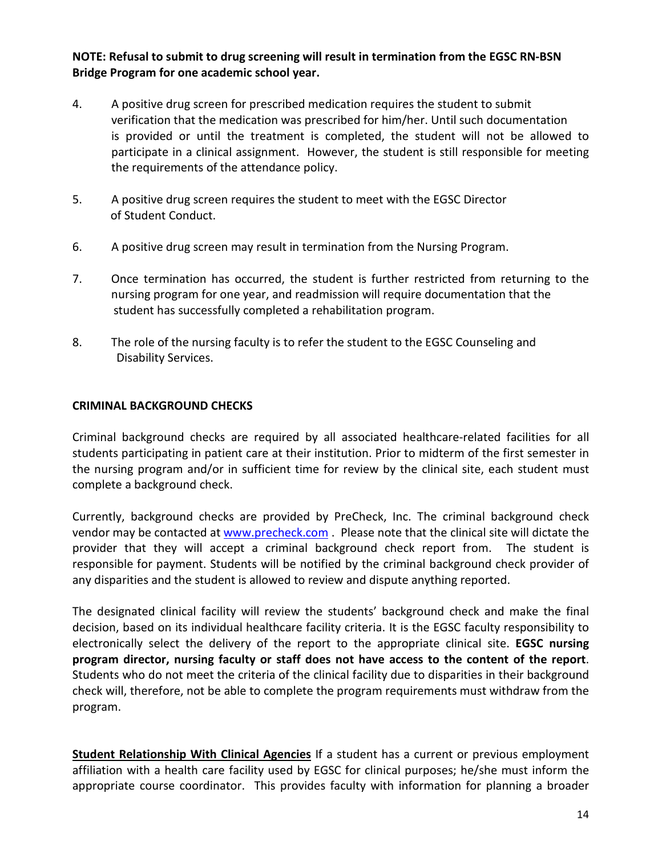**NOTE: Refusal to submit to drug screening will result in termination from the EGSC RN-BSN Bridge Program for one academic school year.**

- 4. A positive drug screen for prescribed medication requires the student to submit verification that the medication was prescribed for him/her. Until such documentation is provided or until the treatment is completed, the student will not be allowed to participate in a clinical assignment. However, the student is still responsible for meeting the requirements of the attendance policy.
- 5. A positive drug screen requires the student to meet with the EGSC Director of Student Conduct.
- 6. A positive drug screen may result in termination from the Nursing Program.
- 7. Once termination has occurred, the student is further restricted from returning to the nursing program for one year, and readmission will require documentation that the student has successfully completed a rehabilitation program.
- 8. The role of the nursing faculty is to refer the student to the EGSC Counseling and Disability Services.

## **CRIMINAL BACKGROUND CHECKS**

Criminal background checks are required by all associated healthcare-related facilities for all students participating in patient care at their institution. Prior to midterm of the first semester in the nursing program and/or in sufficient time for review by the clinical site, each student must complete a background check.

Currently, background checks are provided by PreCheck, Inc. The criminal background check vendor may be contacted at [www.precheck.com](http://www.precheck.com/) . Please note that the clinical site will dictate the provider that they will accept a criminal background check report from. The student is responsible for payment. Students will be notified by the criminal background check provider of any disparities and the student is allowed to review and dispute anything reported.

The designated clinical facility will review the students' background check and make the final decision, based on its individual healthcare facility criteria. It is the EGSC faculty responsibility to electronically select the delivery of the report to the appropriate clinical site. **EGSC nursing program director, nursing faculty or staff does not have access to the content of the report**. Students who do not meet the criteria of the clinical facility due to disparities in their background check will, therefore, not be able to complete the program requirements must withdraw from the program.

**Student Relationship With Clinical Agencies** If a student has a current or previous employment affiliation with a health care facility used by EGSC for clinical purposes; he/she must inform the appropriate course coordinator. This provides faculty with information for planning a broader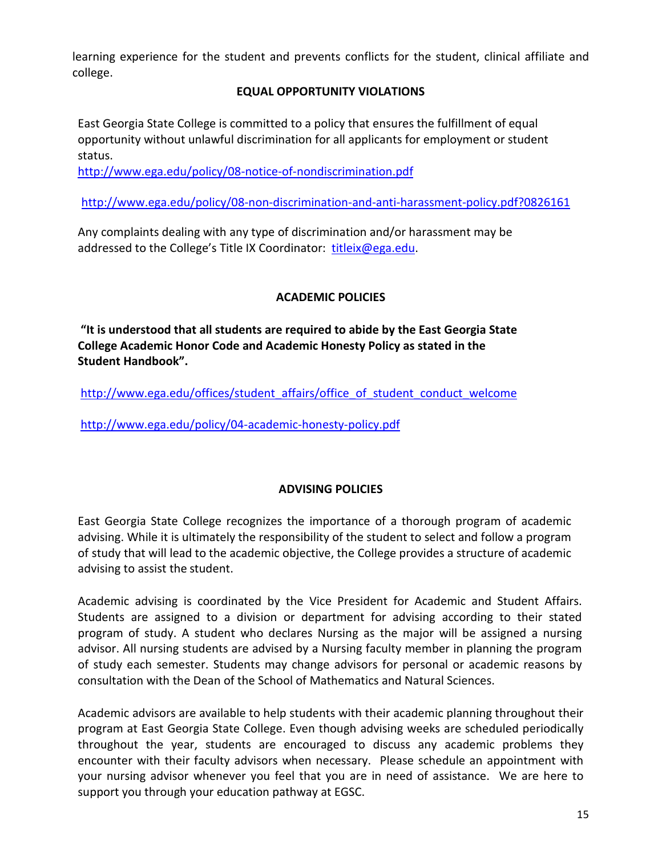<span id="page-14-0"></span>learning experience for the student and prevents conflicts for the student, clinical affiliate and college.

## **EQUAL OPPORTUNITY VIOLATIONS**

East Georgia State College is committed to a policy that ensures the fulfillment of equal opportunity without unlawful discrimination for all applicants for employment or student status.

<http://www.ega.edu/policy/08-notice-of-nondiscrimination.pdf>

<http://www.ega.edu/policy/08-non-discrimination-and-anti-harassment-policy.pdf?0826161>

Any complaints dealing with any type of discrimination and/or harassment may be addressed to the College's Title IX Coordinator: [titleix@ega.edu.](mailto:titleix@ega.edu)

## **ACADEMIC POLICIES**

**"It is understood that all students are required to abide by the East Georgia State College Academic Honor Code and Academic Honesty Policy as stated in the Student Handbook".** 

[http://www.ega.edu/offices/student\\_affairs/office\\_of\\_student\\_conduct\\_welcome](http://www.ega.edu/offices/student_affairs/office_of_student_conduct_welcome)

<span id="page-14-1"></span><http://www.ega.edu/policy/04-academic-honesty-policy.pdf>

#### **ADVISING POLICIES**

East Georgia State College recognizes the importance of a thorough program of academic advising. While it is ultimately the responsibility of the student to select and follow a program of study that will lead to the academic objective, the College provides a structure of academic advising to assist the student.

Academic advising is coordinated by the Vice President for Academic and Student Affairs. Students are assigned to a division or department for advising according to their stated program of study. A student who declares Nursing as the major will be assigned a nursing advisor. All nursing students are advised by a Nursing faculty member in planning the program of study each semester. Students may change advisors for personal or academic reasons by consultation with the Dean of the School of Mathematics and Natural Sciences.

Academic advisors are available to help students with their academic planning throughout their program at East Georgia State College. Even though advising weeks are scheduled periodically throughout the year, students are encouraged to discuss any academic problems they encounter with their faculty advisors when necessary. Please schedule an appointment with your nursing advisor whenever you feel that you are in need of assistance. We are here to support you through your education pathway at EGSC.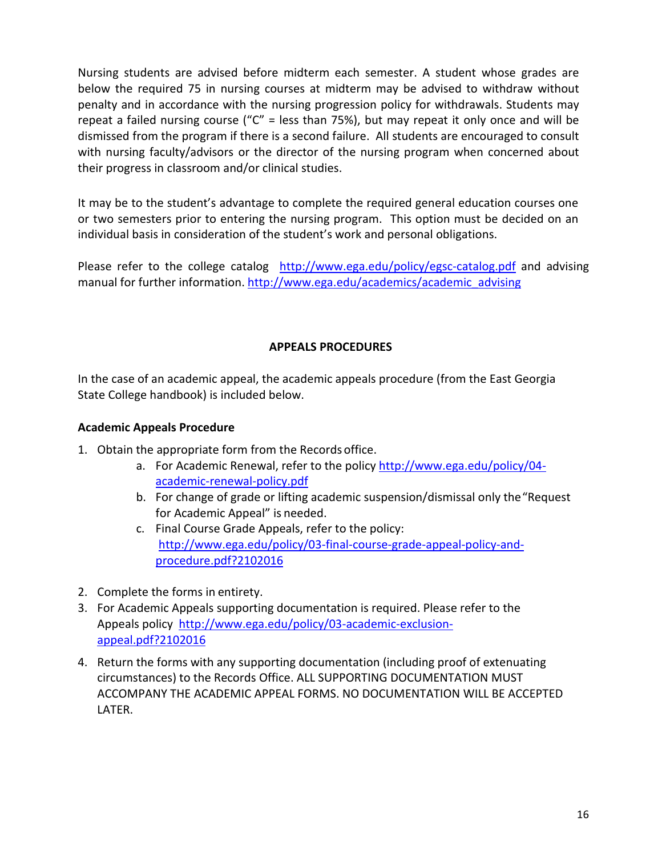Nursing students are advised before midterm each semester. A student whose grades are below the required 75 in nursing courses at midterm may be advised to withdraw without penalty and in accordance with the nursing progression policy for withdrawals. Students may repeat a failed nursing course (" $C$ " = less than 75%), but may repeat it only once and will be dismissed from the program if there is a second failure. All students are encouraged to consult with nursing faculty/advisors or the director of the nursing program when concerned about their progress in classroom and/or clinical studies.

It may be to the student's advantage to complete the required general education courses one or two semesters prior to entering the nursing program. This option must be decided on an individual basis in consideration of the student's work and personal obligations.

Please refer to the college catalog <http://www.ega.edu/policy/egsc-catalog.pdf> and advising manual for further information. [http://www.ega.edu/academics/academic\\_advising](http://www.ega.edu/academics/academic_advising)

## **APPEALS PROCEDURES**

<span id="page-15-0"></span>In the case of an academic appeal, the academic appeals procedure (from the East Georgia State College handbook) is included below.

## **Academic Appeals Procedure**

- 1. Obtain the appropriate form from the Records office.
	- a. For Academic Renewal, refer to the policy [http://www.ega.edu/policy/04](http://www.ega.edu/policy/04-academic-renewal-policy.pdf) [academic-renewal-policy.pdf](http://www.ega.edu/policy/04-academic-renewal-policy.pdf)
	- b. For change of grade or lifting academic suspension/dismissal only the"Request for Academic Appeal" is needed.
	- c. Final Course Grade Appeals, refer to the policy: [http://www.ega.edu/policy/03-final-course-grade-appeal-policy-and](http://www.ega.edu/policy/03-final-course-grade-appeal-policy-and-procedure.pdf?2102016)[procedure.pdf?2102016](http://www.ega.edu/policy/03-final-course-grade-appeal-policy-and-procedure.pdf?2102016)
- 2. Complete the forms in entirety.
- 3. For Academic Appeals supporting documentation is required. Please refer to the Appeals policy [http://www.ega.edu/policy/03-academic-exclusion](http://www.ega.edu/policy/03-academic-exclusion-appeal.pdf?2102016)[appeal.pdf?2102016](http://www.ega.edu/policy/03-academic-exclusion-appeal.pdf?2102016)
- <span id="page-15-1"></span>4. Return the forms with any supporting documentation (including proof of extenuating circumstances) to the Records Office. ALL SUPPORTING DOCUMENTATION MUST ACCOMPANY THE ACADEMIC APPEAL FORMS. NO DOCUMENTATION WILL BE ACCEPTED LATER.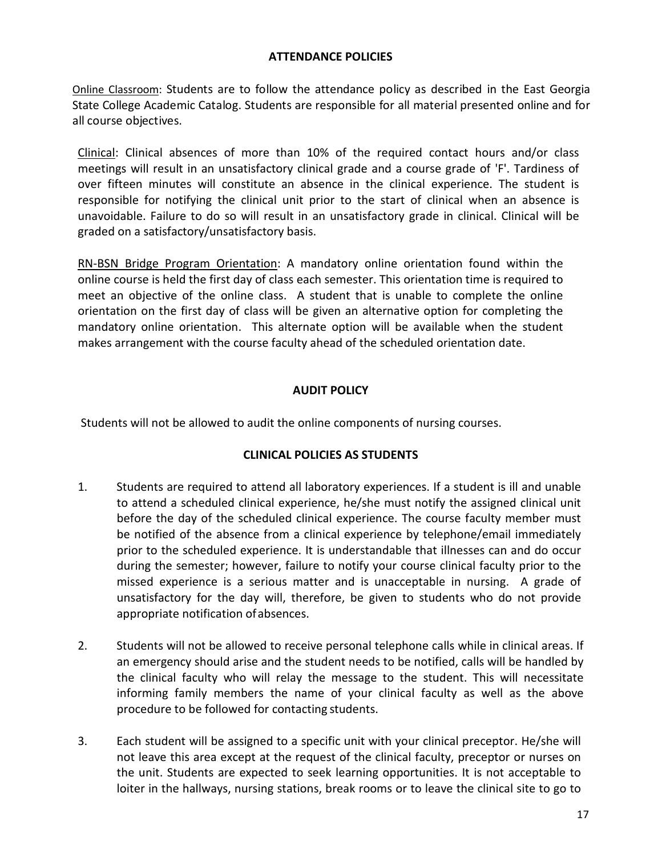### **ATTENDANCE POLICIES**

Online Classroom: Students are to follow the attendance policy as described in the East Georgia State College Academic Catalog. Students are responsible for all material presented online and for all course objectives.

Clinical: Clinical absences of more than 10% of the required contact hours and/or class meetings will result in an unsatisfactory clinical grade and a course grade of 'F'. Tardiness of over fifteen minutes will constitute an absence in the clinical experience. The student is responsible for notifying the clinical unit prior to the start of clinical when an absence is unavoidable. Failure to do so will result in an unsatisfactory grade in clinical. Clinical will be graded on a satisfactory/unsatisfactory basis.

RN-BSN Bridge Program Orientation: A mandatory online orientation found within the online course is held the first day of class each semester. This orientation time is required to meet an objective of the online class. A student that is unable to complete the online orientation on the first day of class will be given an alternative option for completing the mandatory online orientation. This alternate option will be available when the student makes arrangement with the course faculty ahead of the scheduled orientation date.

## **AUDIT POLICY**

<span id="page-16-0"></span>Students will not be allowed to audit the online components of nursing courses.

## **CLINICAL POLICIES AS STUDENTS**

- 1. Students are required to attend all laboratory experiences. If a student is ill and unable to attend a scheduled clinical experience, he/she must notify the assigned clinical unit before the day of the scheduled clinical experience. The course faculty member must be notified of the absence from a clinical experience by telephone/email immediately prior to the scheduled experience. It is understandable that illnesses can and do occur during the semester; however, failure to notify your course clinical faculty prior to the missed experience is a serious matter and is unacceptable in nursing. A grade of unsatisfactory for the day will, therefore, be given to students who do not provide appropriate notification ofabsences.
- 2. Students will not be allowed to receive personal telephone calls while in clinical areas. If an emergency should arise and the student needs to be notified, calls will be handled by the clinical faculty who will relay the message to the student. This will necessitate informing family members the name of your clinical faculty as well as the above procedure to be followed for contacting students.
- 3. Each student will be assigned to a specific unit with your clinical preceptor. He/she will not leave this area except at the request of the clinical faculty, preceptor or nurses on the unit. Students are expected to seek learning opportunities. It is not acceptable to loiter in the hallways, nursing stations, break rooms or to leave the clinical site to go to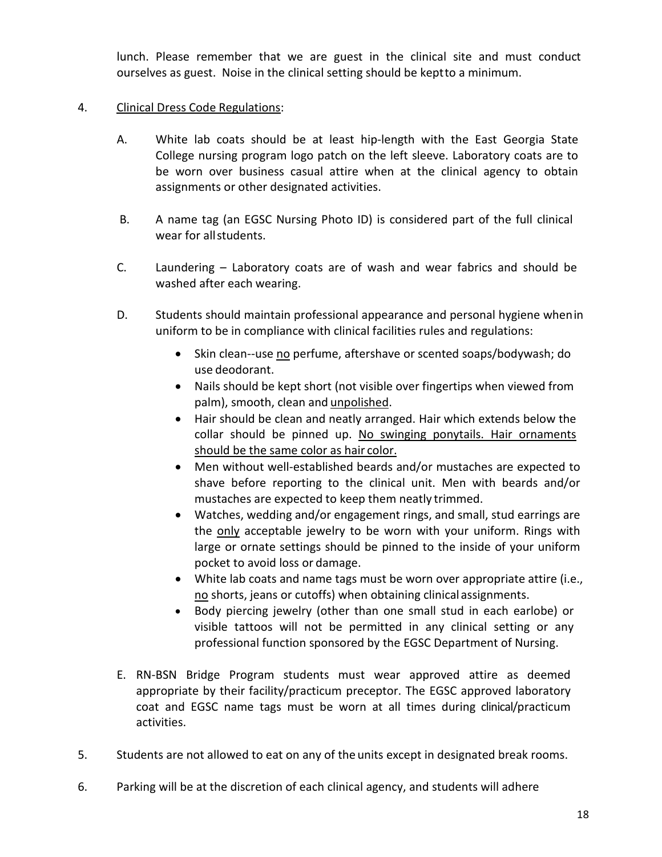lunch. Please remember that we are guest in the clinical site and must conduct ourselves as guest. Noise in the clinical setting should be keptto a minimum.

## 4. Clinical Dress Code Regulations:

- A. White lab coats should be at least hip-length with the East Georgia State College nursing program logo patch on the left sleeve. Laboratory coats are to be worn over business casual attire when at the clinical agency to obtain assignments or other designated activities.
- B. A name tag (an EGSC Nursing Photo ID) is considered part of the full clinical wear for allstudents.
- C. Laundering Laboratory coats are of wash and wear fabrics and should be washed after each wearing.
- D. Students should maintain professional appearance and personal hygiene whenin uniform to be in compliance with clinical facilities rules and regulations:
	- Skin clean--use no perfume, aftershave or scented soaps/bodywash; do use deodorant.
	- Nails should be kept short (not visible over fingertips when viewed from palm), smooth, clean and unpolished.
	- Hair should be clean and neatly arranged. Hair which extends below the collar should be pinned up. No swinging ponytails. Hair ornaments should be the same color as hair color.
	- Men without well-established beards and/or mustaches are expected to shave before reporting to the clinical unit. Men with beards and/or mustaches are expected to keep them neatly trimmed.
	- Watches, wedding and/or engagement rings, and small, stud earrings are the only acceptable jewelry to be worn with your uniform. Rings with large or ornate settings should be pinned to the inside of your uniform pocket to avoid loss or damage.
	- White lab coats and name tags must be worn over appropriate attire (i.e., no shorts, jeans or cutoffs) when obtaining clinical assignments.
	- Body piercing jewelry (other than one small stud in each earlobe) or visible tattoos will not be permitted in any clinical setting or any professional function sponsored by the EGSC Department of Nursing.
- E. RN-BSN Bridge Program students must wear approved attire as deemed appropriate by their facility/practicum preceptor. The EGSC approved laboratory coat and EGSC name tags must be worn at all times during clinical/practicum activities.
- 5. Students are not allowed to eat on any of the units except in designated break rooms.
- 6. Parking will be at the discretion of each clinical agency, and students will adhere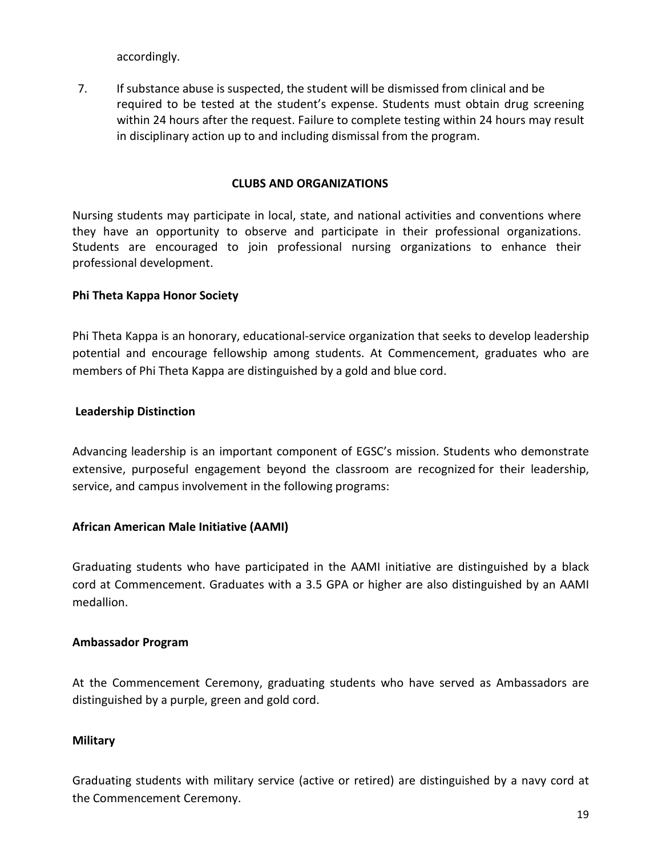accordingly.

7. If substance abuse is suspected, the student will be dismissed from clinical and be required to be tested at the student's expense. Students must obtain drug screening within 24 hours after the request. Failure to complete testing within 24 hours may result in disciplinary action up to and including dismissal from the program.

#### **CLUBS AND ORGANIZATIONS**

<span id="page-18-0"></span>Nursing students may participate in local, state, and national activities and conventions where they have an opportunity to observe and participate in their professional organizations. Students are encouraged to join professional nursing organizations to enhance their professional development.

#### **Phi Theta Kappa Honor Society**

Phi Theta Kappa is an honorary, educational-service organization that seeks to develop leadership potential and encourage fellowship among students. At Commencement, graduates who are members of Phi Theta Kappa are distinguished by a gold and blue cord.

#### **Leadership Distinction**

Advancing leadership is an important component of EGSC's mission. Students who demonstrate extensive, purposeful engagement beyond the classroom are recognized for their leadership, service, and campus involvement in the following programs:

#### **[African American Male Initiative \(AAMI\)](http://www.ega.edu/aami)**

Graduating students who have participated in the AAMI initiative are distinguished by a black cord at Commencement. Graduates with a 3.5 GPA or higher are also distinguished by an AAMI medallion.

#### **[Ambassador Program](http://www.ega.edu/student_life/ambassadors)**

At the Commencement Ceremony, graduating students who have served as Ambassadors are distinguished by a purple, green and gold cord.

#### **[Military](http://www.ega.edu/veterans_and_military_personnel)**

Graduating students with military service (active or retired) are distinguished by a navy cord at the Commencement Ceremony.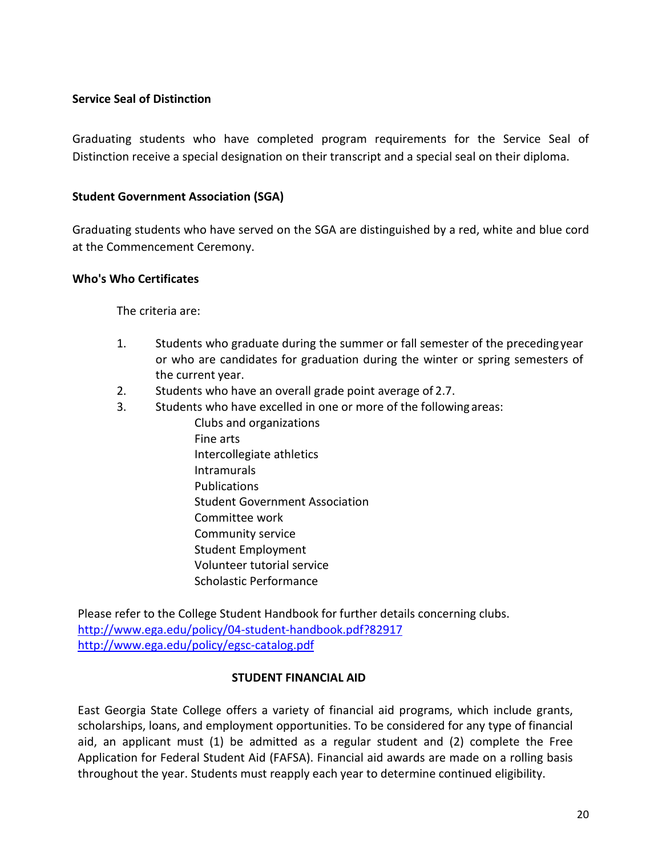## **[Service Seal of Distinction](http://www.ega.edu/academics/academic-and-leadership-distinction/service-seal-of-distinction)**

Graduating students who have completed program requirements for the Service Seal of Distinction receive a special designation on their transcript and a special seal on their diploma.

## **[Student Government Association \(SGA\)](http://www.ega.edu/student_life/sga)**

Graduating students who have served on the SGA are distinguished by a red, white and blue cord at the Commencement Ceremony.

## **Who's Who Certificates**

The criteria are:

- 1. Students who graduate during the summer or fall semester of the precedingyear or who are candidates for graduation during the winter or spring semesters of the current year.
- 2. Students who have an overall grade point average of 2.7.
- 3. Students who have excelled in one or more of the followingareas:
	- Clubs and organizations Fine arts Intercollegiate athletics Intramurals Publications Student Government Association Committee work Community service Student Employment Volunteer tutorial service Scholastic Performance

Please refer to the College Student Handbook for further details concerning clubs. <http://www.ega.edu/policy/04-student-handbook.pdf?82917> <http://www.ega.edu/policy/egsc-catalog.pdf>

## **STUDENT FINANCIAL AID**

East Georgia State College offers a variety of financial aid programs, which include grants, scholarships, loans, and employment opportunities. To be considered for any type of financial aid, an applicant must (1) be admitted as a regular student and (2) complete the Free Application for Federal Student Aid (FAFSA). Financial aid awards are made on a rolling basis throughout the year. Students must reapply each year to determine continued eligibility.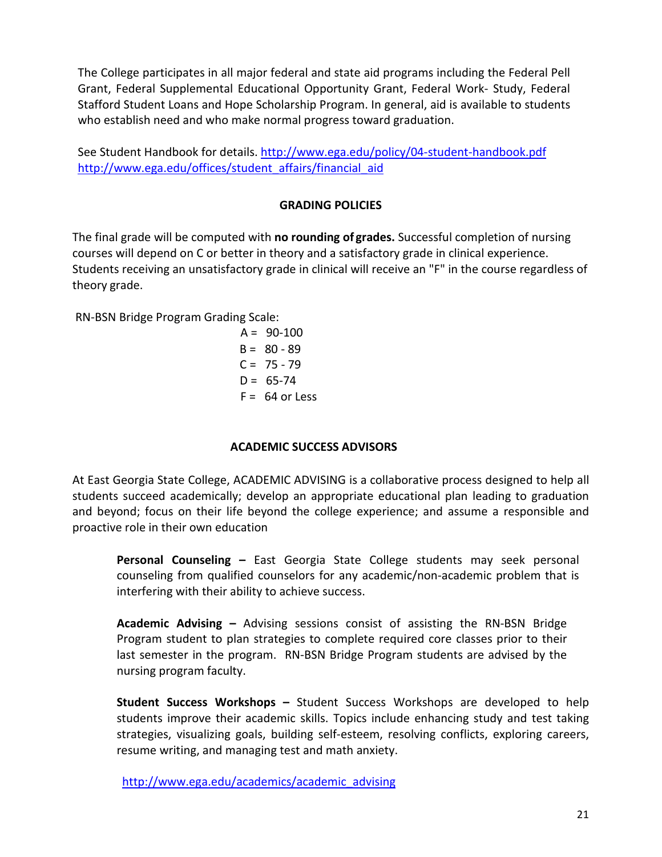The College participates in all major federal and state aid programs including the Federal Pell Grant, Federal Supplemental Educational Opportunity Grant, Federal Work- Study, Federal Stafford Student Loans and Hope Scholarship Program. In general, aid is available to students who establish need and who make normal progress toward graduation.

<span id="page-20-0"></span>See Student Handbook for details. <http://www.ega.edu/policy/04-student-handbook.pdf> [http://www.ega.edu/offices/student\\_affairs/financial\\_aid](http://www.ega.edu/offices/student_affairs/financial_aid)

## **GRADING POLICIES**

The final grade will be computed with **no rounding of grades.** Successful completion of nursing courses will depend on C or better in theory and a satisfactory grade in clinical experience. Students receiving an unsatisfactory grade in clinical will receive an "F" in the course regardless of theory grade.

RN-BSN Bridge Program Grading Scale:

 $A = 90-100$  $B = 80 - 89$  $C = 75 - 79$  $D = 65 - 74$  $F = 64$  or Less

## **ACADEMIC SUCCESS ADVISORS**

<span id="page-20-1"></span>At East Georgia State College, ACADEMIC ADVISING is a collaborative process designed to help all students succeed academically; develop an appropriate educational plan leading to graduation and beyond; focus on their life beyond the college experience; and assume a responsible and proactive role in their own education

**Personal Counseling –** East Georgia State College students may seek personal counseling from qualified counselors for any academic/non-academic problem that is interfering with their ability to achieve success.

**Academic Advising –** Advising sessions consist of assisting the RN-BSN Bridge Program student to plan strategies to complete required core classes prior to their last semester in the program. RN-BSN Bridge Program students are advised by the nursing program faculty.

**Student Success Workshops –** Student Success Workshops are developed to help students improve their academic skills. Topics include enhancing study and test taking strategies, visualizing goals, building self-esteem, resolving conflicts, exploring careers, resume writing, and managing test and math anxiety.

[http://www.ega.edu/academics/academic\\_advising](http://www.ega.edu/academics/academic_advising)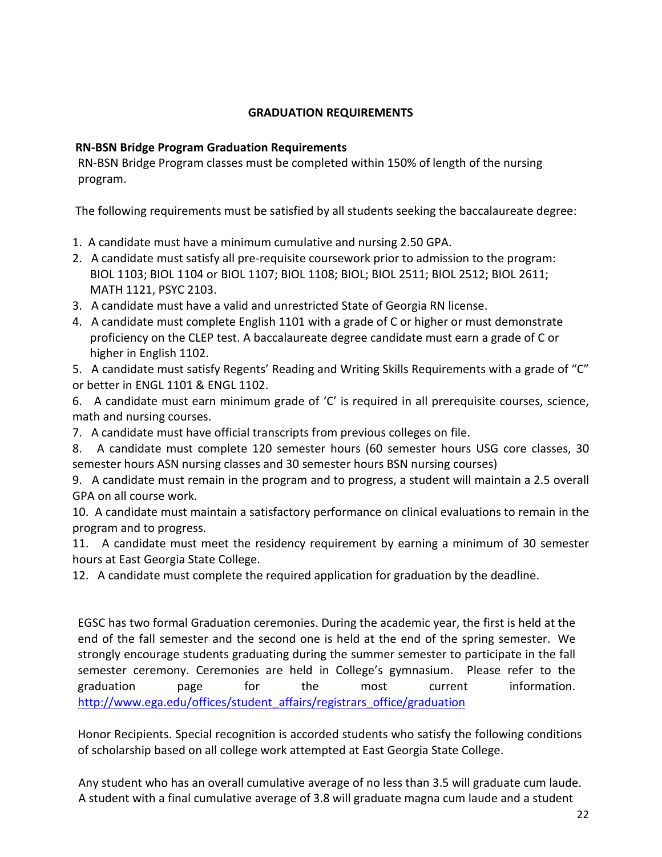## **GRADUATION REQUIREMENTS**

### <span id="page-21-0"></span>**RN-BSN Bridge Program Graduation Requirements**

RN-BSN Bridge Program classes must be completed within 150% of length of the nursing program.

The following requirements must be satisfied by all students seeking the baccalaureate degree:

- 1. A candidate must have a minimum cumulative and nursing 2.50 GPA.
- 2. A candidate must satisfy all pre-requisite coursework prior to admission to the program: BIOL 1103; BIOL 1104 or BIOL 1107; BIOL 1108; BIOL; BIOL 2511; BIOL 2512; BIOL 2611; MATH 1121, PSYC 2103.
- 3. A candidate must have a valid and unrestricted State of Georgia RN license.
- 4. A candidate must complete English 1101 with a grade of C or higher or must demonstrate proficiency on the CLEP test. A baccalaureate degree candidate must earn a grade of C or higher in English 1102.

5. A candidate must satisfy Regents' Reading and Writing Skills Requirements with a grade of "C" or better in ENGL 1101 & ENGL 1102.

6. A candidate must earn minimum grade of 'C' is required in all prerequisite courses, science, math and nursing courses.

7. A candidate must have official transcripts from previous colleges on file.

8. A candidate must complete 120 semester hours (60 semester hours USG core classes, 30 semester hours ASN nursing classes and 30 semester hours BSN nursing courses)

9. A candidate must remain in the program and to progress, a student will maintain a 2.5 overall GPA on all course work.

10. A candidate must maintain a satisfactory performance on clinical evaluations to remain in the program and to progress.

11. A candidate must meet the residency requirement by earning a minimum of 30 semester hours at East Georgia State College.

12. A candidate must complete the required application for graduation by the deadline.

EGSC has two formal Graduation ceremonies. During the academic year, the first is held at the end of the fall semester and the second one is held at the end of the spring semester. We strongly encourage students graduating during the summer semester to participate in the fall semester ceremony. Ceremonies are held in College's gymnasium. Please refer to the graduation page for the most current information. [http://www.ega.edu/offices/student\\_affairs/registrars\\_office/graduation](http://www.ega.edu/offices/student_affairs/registrars_office/graduation)

Honor Recipients. Special recognition is accorded students who satisfy the following conditions of scholarship based on all college work attempted at East Georgia State College.

 Any student who has an overall cumulative average of no less than 3.5 will graduate cum laude. A student with a final cumulative average of 3.8 will graduate magna cum laude and a student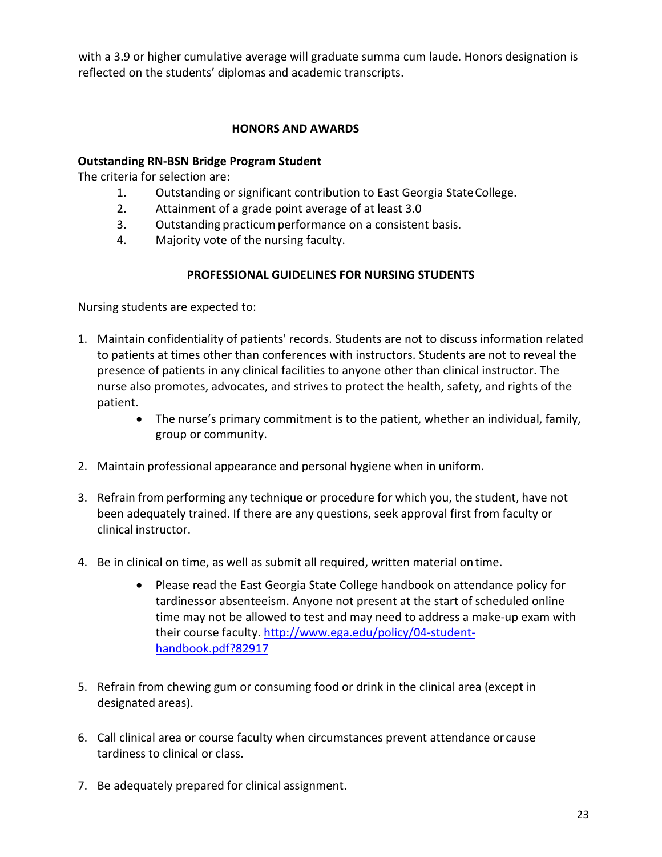<span id="page-22-0"></span> with a 3.9 or higher cumulative average will graduate summa cum laude. Honors designation is reflected on the students' diplomas and academic transcripts.

## **HONORS AND AWARDS**

## **Outstanding RN-BSN Bridge Program Student**

The criteria for selection are:

- 1. Outstanding or significant contribution to East Georgia StateCollege.
- 2. Attainment of a grade point average of at least 3.0
- 3. Outstanding practicumperformance on a consistent basis.
- 4. Majority vote of the nursing faculty.

## **PROFESSIONAL GUIDELINES FOR NURSING STUDENTS**

<span id="page-22-1"></span>Nursing students are expected to:

- 1. Maintain confidentiality of patients' records. Students are not to discuss information related to patients at times other than conferences with instructors. Students are not to reveal the presence of patients in any clinical facilities to anyone other than clinical instructor. The nurse also promotes, advocates, and strives to protect the health, safety, and rights of the patient.
	- The nurse's primary commitment is to the patient, whether an individual, family, group or community.
- 2. Maintain professional appearance and personal hygiene when in uniform.
- 3. Refrain from performing any technique or procedure for which you, the student, have not been adequately trained. If there are any questions, seek approval first from faculty or clinical instructor.
- 4. Be in clinical on time, as well as submit all required, written material ontime.
	- Please read the East Georgia State College handbook on attendance policy for tardinessor absenteeism. Anyone not present at the start of scheduled online time may not be allowed to test and may need to address a make-up exam with their course faculty. [http://www.ega.edu/policy/04-student](http://www.ega.edu/policy/04-student-handbook.pdf?82917)[handbook.pdf?82917](http://www.ega.edu/policy/04-student-handbook.pdf?82917)
- 5. Refrain from chewing gum or consuming food or drink in the clinical area (except in designated areas).
- 6. Call clinical area or course faculty when circumstances prevent attendance or cause tardiness to clinical or class.
- 7. Be adequately prepared for clinical assignment.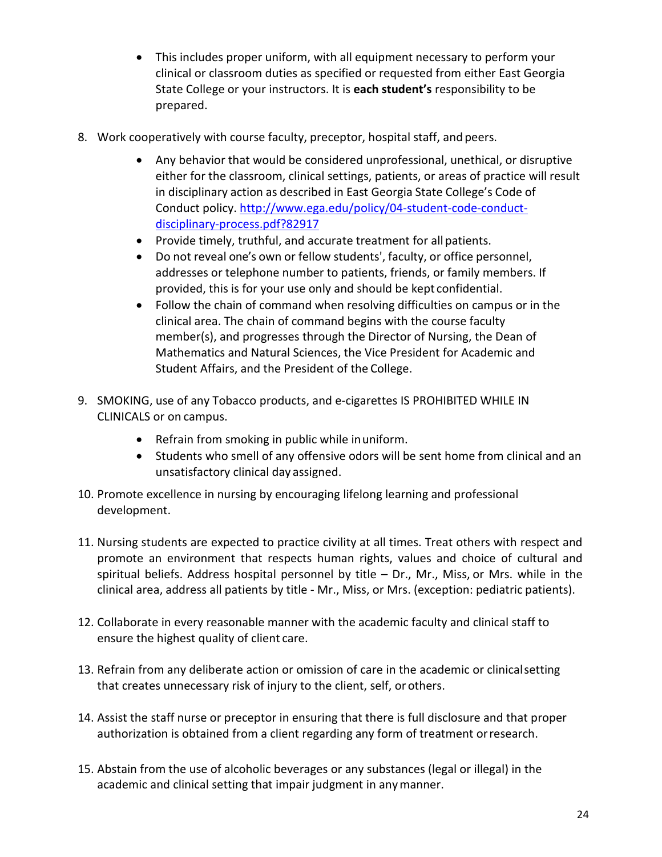- This includes proper uniform, with all equipment necessary to perform your clinical or classroom duties as specified or requested from either East Georgia State College or your instructors. It is **each student's** responsibility to be prepared.
- 8. Work cooperatively with course faculty, preceptor, hospital staff, and peers.
	- Any behavior that would be considered unprofessional, unethical, or disruptive either for the classroom, clinical settings, patients, or areas of practice will result in disciplinary action as described in East Georgia State College's Code of Conduct policy. [http://www.ega.edu/policy/04-student-code-conduct](http://www.ega.edu/policy/04-student-code-conduct-disciplinary-process.pdf?82917)[disciplinary-process.pdf?82917](http://www.ega.edu/policy/04-student-code-conduct-disciplinary-process.pdf?82917)
	- Provide timely, truthful, and accurate treatment for allpatients.
	- Do not reveal one's own or fellow students', faculty, or office personnel, addresses or telephone number to patients, friends, or family members. If provided, this is for your use only and should be kept confidential.
	- Follow the chain of command when resolving difficulties on campus or in the clinical area. The chain of command begins with the course faculty member(s), and progresses through the Director of Nursing, the Dean of Mathematics and Natural Sciences, the Vice President for Academic and Student Affairs, and the President of the College.
- 9. SMOKING, use of any Tobacco products, and e-cigarettes IS PROHIBITED WHILE IN CLINICALS or on campus.
	- Refrain from smoking in public while inuniform.
	- Students who smell of any offensive odors will be sent home from clinical and an unsatisfactory clinical day assigned.
- 10. Promote excellence in nursing by encouraging lifelong learning and professional development.
- 11. Nursing students are expected to practice civility at all times. Treat others with respect and promote an environment that respects human rights, values and choice of cultural and spiritual beliefs. Address hospital personnel by title – Dr., Mr., Miss, or Mrs. while in the clinical area, address all patients by title - Mr., Miss, or Mrs. (exception: pediatric patients).
- 12. Collaborate in every reasonable manner with the academic faculty and clinical staff to ensure the highest quality of client care.
- 13. Refrain from any deliberate action or omission of care in the academic or clinicalsetting that creates unnecessary risk of injury to the client, self, orothers.
- 14. Assist the staff nurse or preceptor in ensuring that there is full disclosure and that proper authorization is obtained from a client regarding any form of treatment orresearch.
- 15. Abstain from the use of alcoholic beverages or any substances (legal or illegal) in the academic and clinical setting that impair judgment in anymanner.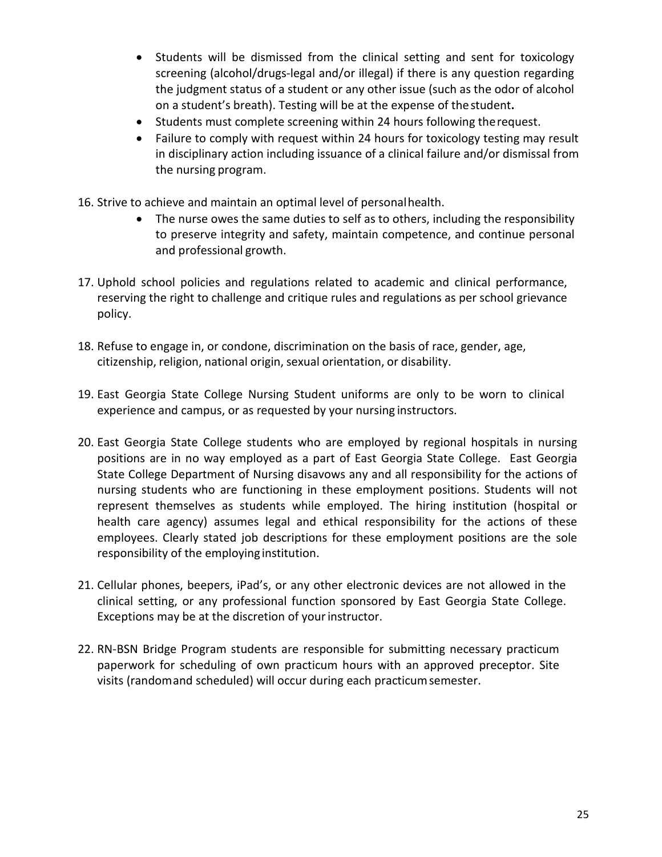- Students will be dismissed from the clinical setting and sent for toxicology screening (alcohol/drugs-legal and/or illegal) if there is any question regarding the judgment status of a student or any other issue (such as the odor of alcohol on a student's breath). Testing will be at the expense of thestudent**.**
- Students must complete screening within 24 hours following therequest.
- Failure to comply with request within 24 hours for toxicology testing may result in disciplinary action including issuance of a clinical failure and/or dismissal from the nursing program.
- 16. Strive to achieve and maintain an optimal level of personalhealth.
	- The nurse owes the same duties to self as to others, including the responsibility to preserve integrity and safety, maintain competence, and continue personal and professional growth.
- 17. Uphold school policies and regulations related to academic and clinical performance, reserving the right to challenge and critique rules and regulations as per school grievance policy.
- 18. Refuse to engage in, or condone, discrimination on the basis of race, gender, age, citizenship, religion, national origin, sexual orientation, or disability.
- 19. East Georgia State College Nursing Student uniforms are only to be worn to clinical experience and campus, or as requested by your nursing instructors.
- 20. East Georgia State College students who are employed by regional hospitals in nursing positions are in no way employed as a part of East Georgia State College. East Georgia State College Department of Nursing disavows any and all responsibility for the actions of nursing students who are functioning in these employment positions. Students will not represent themselves as students while employed. The hiring institution (hospital or health care agency) assumes legal and ethical responsibility for the actions of these employees. Clearly stated job descriptions for these employment positions are the sole responsibility of the employing institution.
- 21. Cellular phones, beepers, iPad's, or any other electronic devices are not allowed in the clinical setting, or any professional function sponsored by East Georgia State College. Exceptions may be at the discretion of your instructor.
- 22. RN-BSN Bridge Program students are responsible for submitting necessary practicum paperwork for scheduling of own practicum hours with an approved preceptor. Site visits (randomand scheduled) will occur during each practicumsemester.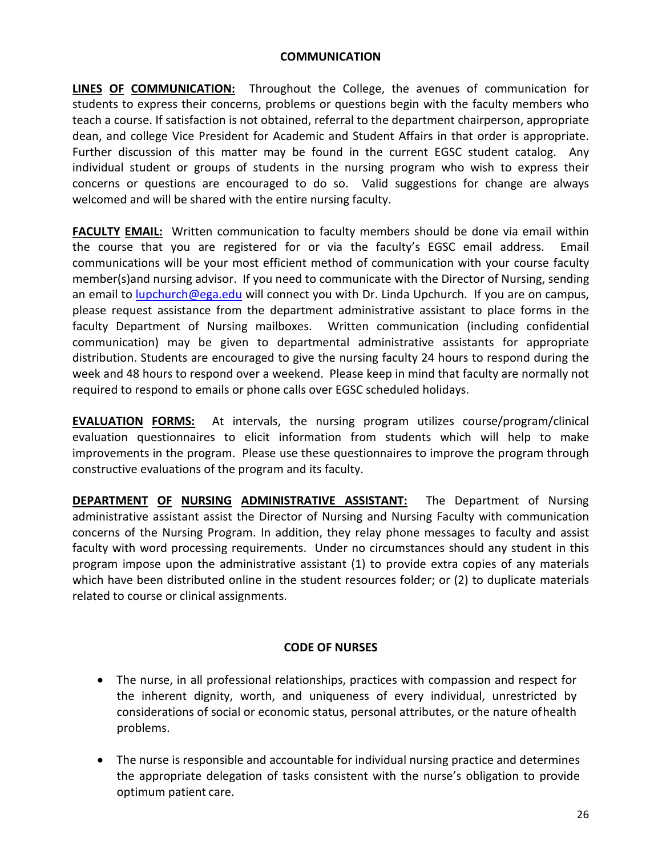#### **COMMUNICATION**

**LINES OF COMMUNICATION:** Throughout the College, the avenues of communication for students to express their concerns, problems or questions begin with the faculty members who teach a course. If satisfaction is not obtained, referral to the department chairperson, appropriate dean, and college Vice President for Academic and Student Affairs in that order is appropriate. Further discussion of this matter may be found in the current EGSC student catalog. Any individual student or groups of students in the nursing program who wish to express their concerns or questions are encouraged to do so. Valid suggestions for change are always welcomed and will be shared with the entire nursing faculty.

**FACULTY EMAIL:** Written communication to faculty members should be done via email within the course that you are registered for or via the faculty's EGSC email address. Email communications will be your most efficient method of communication with your course faculty member(s)and nursing advisor. If you need to communicate with the Director of Nursing, sending an email to [lupchurch@ega.edu](mailto:srozier@ega.edu) will connect you with Dr. Linda Upchurch. If you are on campus, please request assistance from the department administrative assistant to place forms in the faculty Department of Nursing mailboxes. Written communication (including confidential communication) may be given to departmental administrative assistants for appropriate distribution. Students are encouraged to give the nursing faculty 24 hours to respond during the week and 48 hours to respond over a weekend. Please keep in mind that faculty are normally not required to respond to emails or phone calls over EGSC scheduled holidays.

**EVALUATION FORMS:** At intervals, the nursing program utilizes course/program/clinical evaluation questionnaires to elicit information from students which will help to make improvements in the program. Please use these questionnaires to improve the program through constructive evaluations of the program and its faculty.

**DEPARTMENT OF NURSING ADMINISTRATIVE ASSISTANT:** The Department of Nursing administrative assistant assist the Director of Nursing and Nursing Faculty with communication concerns of the Nursing Program. In addition, they relay phone messages to faculty and assist faculty with word processing requirements. Under no circumstances should any student in this program impose upon the administrative assistant (1) to provide extra copies of any materials which have been distributed online in the student resources folder; or (2) to duplicate materials related to course or clinical assignments.

#### **CODE OF NURSES**

- The nurse, in all professional relationships, practices with compassion and respect for the inherent dignity, worth, and uniqueness of every individual, unrestricted by considerations of social or economic status, personal attributes, or the nature ofhealth problems.
- The nurse is responsible and accountable for individual nursing practice and determines the appropriate delegation of tasks consistent with the nurse's obligation to provide optimum patient care.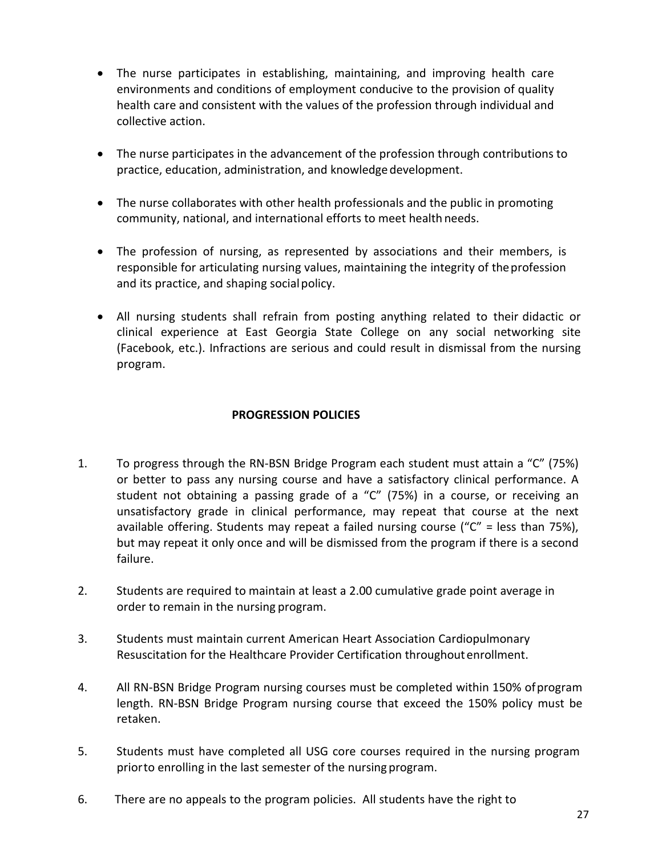- The nurse participates in establishing, maintaining, and improving health care environments and conditions of employment conducive to the provision of quality health care and consistent with the values of the profession through individual and collective action.
- The nurse participates in the advancement of the profession through contributions to practice, education, administration, and knowledge development.
- The nurse collaborates with other health professionals and the public in promoting community, national, and international efforts to meet health needs.
- The profession of nursing, as represented by associations and their members, is responsible for articulating nursing values, maintaining the integrity of the profession and its practice, and shaping social policy.
- All nursing students shall refrain from posting anything related to their didactic or clinical experience at East Georgia State College on any social networking site (Facebook, etc.). Infractions are serious and could result in dismissal from the nursing program.

## **PROGRESSION POLICIES**

- <span id="page-26-0"></span>1. To progress through the RN-BSN Bridge Program each student must attain a "C" (75%) or better to pass any nursing course and have a satisfactory clinical performance. A student not obtaining a passing grade of a "C" (75%) in a course, or receiving an unsatisfactory grade in clinical performance, may repeat that course at the next available offering. Students may repeat a failed nursing course (" $C'' =$  less than 75%), but may repeat it only once and will be dismissed from the program if there is a second failure.
- 2. Students are required to maintain at least a 2.00 cumulative grade point average in order to remain in the nursing program.
- 3. Students must maintain current American Heart Association Cardiopulmonary Resuscitation for the Healthcare Provider Certification throughoutenrollment.
- 4. All RN-BSN Bridge Program nursing courses must be completed within 150% ofprogram length. RN-BSN Bridge Program nursing course that exceed the 150% policy must be retaken.
- 5. Students must have completed all USG core courses required in the nursing program priorto enrolling in the last semester of the nursing program.
- 6. There are no appeals to the program policies. All students have the right to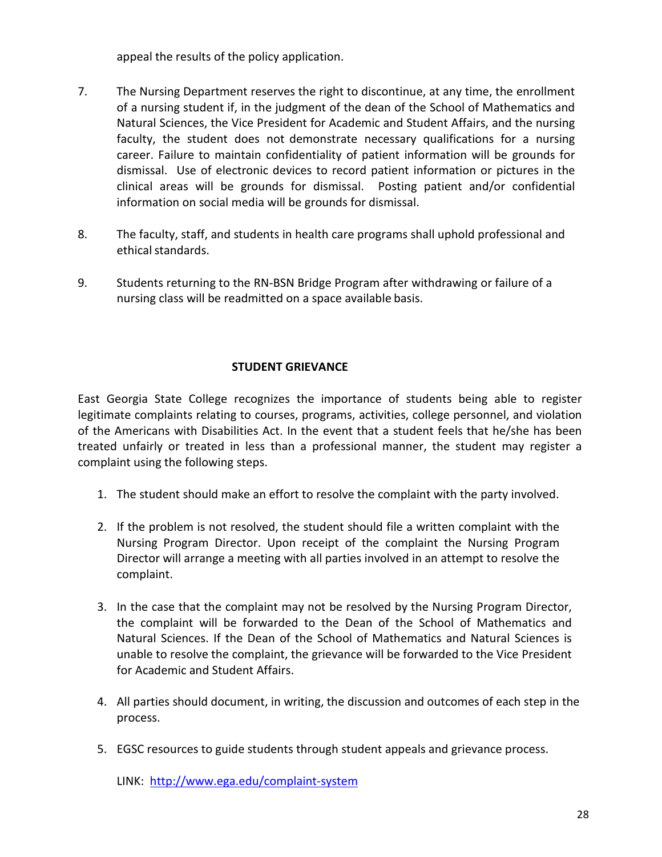appeal the results of the policy application.

- 7. The Nursing Department reserves the right to discontinue, at any time, the enrollment of a nursing student if, in the judgment of the dean of the School of Mathematics and Natural Sciences, the Vice President for Academic and Student Affairs, and the nursing faculty, the student does not demonstrate necessary qualifications for a nursing career. Failure to maintain confidentiality of patient information will be grounds for dismissal. Use of electronic devices to record patient information or pictures in the clinical areas will be grounds for dismissal. Posting patient and/or confidential information on social media will be grounds for dismissal.
- 8. The faculty, staff, and students in health care programs shall uphold professional and ethical standards.
- 9. Students returning to the RN-BSN Bridge Program after withdrawing or failure of a nursing class will be readmitted on a space available basis.

## **STUDENT GRIEVANCE**

<span id="page-27-0"></span>East Georgia State College recognizes the importance of students being able to register legitimate complaints relating to courses, programs, activities, college personnel, and violation of the Americans with Disabilities Act. In the event that a student feels that he/she has been treated unfairly or treated in less than a professional manner, the student may register a complaint using the following steps.

- 1. The student should make an effort to resolve the complaint with the party involved.
- 2. If the problem is not resolved, the student should file a written complaint with the Nursing Program Director. Upon receipt of the complaint the Nursing Program Director will arrange a meeting with all parties involved in an attempt to resolve the complaint.
- 3. In the case that the complaint may not be resolved by the Nursing Program Director, the complaint will be forwarded to the Dean of the School of Mathematics and Natural Sciences. If the Dean of the School of Mathematics and Natural Sciences is unable to resolve the complaint, the grievance will be forwarded to the Vice President for Academic and Student Affairs.
- 4. All parties should document, in writing, the discussion and outcomes of each step in the process.
- 5. EGSC resources to guide students through student appeals and grievance process.

LINK:<http://www.ega.edu/complaint-system>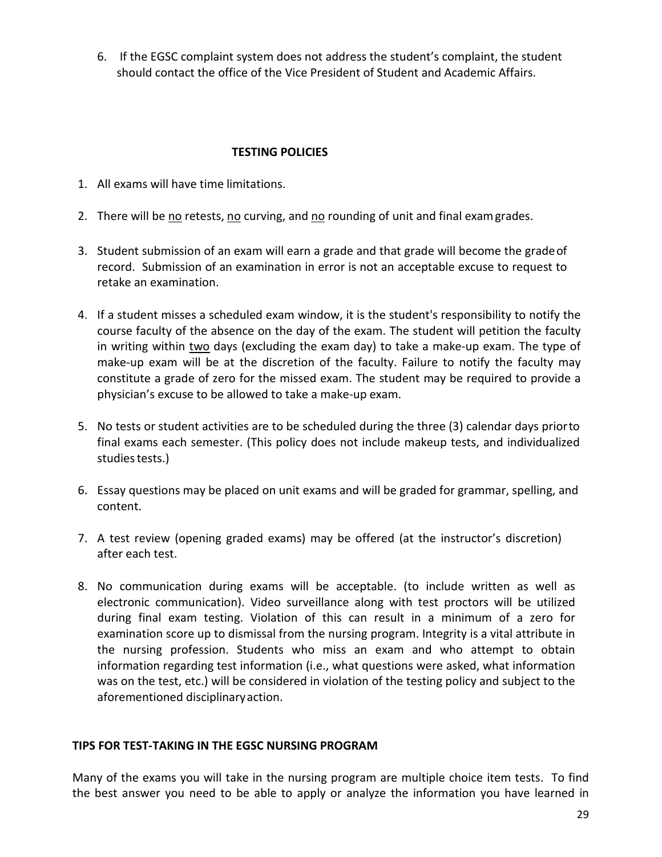6. If the EGSC complaint system does not address the student's complaint, the student should contact the office of the Vice President of Student and Academic Affairs.

## **TESTING POLICIES**

- 1. All exams will have time limitations.
- 2. There will be no retests, no curving, and no rounding of unit and final examgrades.
- 3. Student submission of an exam will earn a grade and that grade will become the gradeof record. Submission of an examination in error is not an acceptable excuse to request to retake an examination.
- 4. If a student misses a scheduled exam window, it is the student's responsibility to notify the course faculty of the absence on the day of the exam. The student will petition the faculty in writing within two days (excluding the exam day) to take a make-up exam. The type of make-up exam will be at the discretion of the faculty. Failure to notify the faculty may constitute a grade of zero for the missed exam. The student may be required to provide a physician's excuse to be allowed to take a make-up exam.
- 5. No tests or student activities are to be scheduled during the three (3) calendar days priorto final exams each semester. (This policy does not include makeup tests, and individualized studies tests.)
- 6. Essay questions may be placed on unit exams and will be graded for grammar, spelling, and content.
- 7. A test review (opening graded exams) may be offered (at the instructor's discretion) after each test.
- 8. No communication during exams will be acceptable. (to include written as well as electronic communication). Video surveillance along with test proctors will be utilized during final exam testing. Violation of this can result in a minimum of a zero for examination score up to dismissal from the nursing program. Integrity is a vital attribute in the nursing profession. Students who miss an exam and who attempt to obtain information regarding test information (i.e., what questions were asked, what information was on the test, etc.) will be considered in violation of the testing policy and subject to the aforementioned disciplinaryaction.

#### **TIPS FOR TEST-TAKING IN THE EGSC NURSING PROGRAM**

Many of the exams you will take in the nursing program are multiple choice item tests. To find the best answer you need to be able to apply or analyze the information you have learned in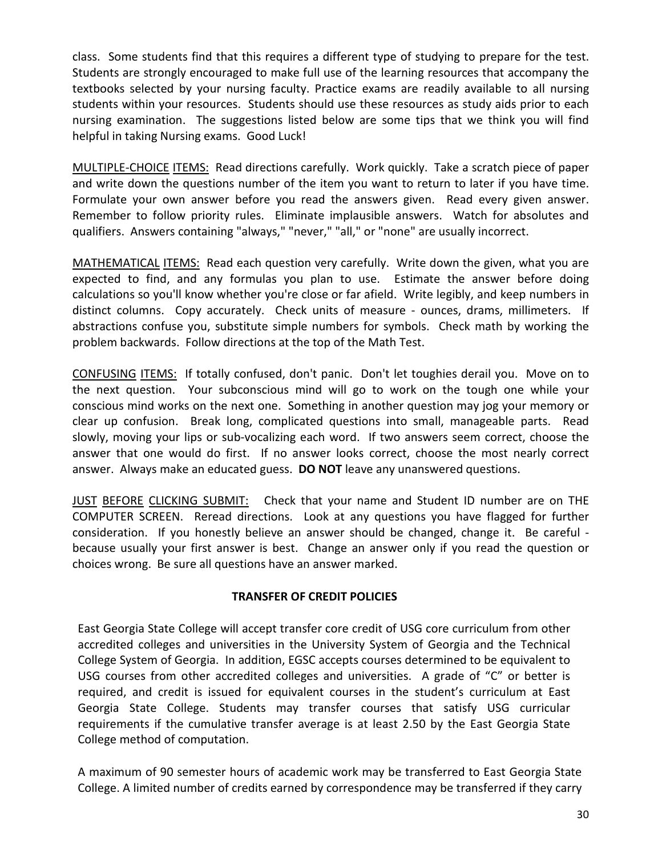class. Some students find that this requires a different type of studying to prepare for the test. Students are strongly encouraged to make full use of the learning resources that accompany the textbooks selected by your nursing faculty. Practice exams are readily available to all nursing students within your resources. Students should use these resources as study aids prior to each nursing examination. The suggestions listed below are some tips that we think you will find helpful in taking Nursing exams. Good Luck!

MULTIPLE-CHOICE ITEMS: Read directions carefully. Work quickly. Take a scratch piece of paper and write down the questions number of the item you want to return to later if you have time. Formulate your own answer before you read the answers given. Read every given answer. Remember to follow priority rules. Eliminate implausible answers. Watch for absolutes and qualifiers. Answers containing "always," "never," "all," or "none" are usually incorrect.

MATHEMATICAL ITEMS: Read each question very carefully. Write down the given, what you are expected to find, and any formulas you plan to use. Estimate the answer before doing calculations so you'll know whether you're close or far afield. Write legibly, and keep numbers in distinct columns. Copy accurately. Check units of measure - ounces, drams, millimeters. If abstractions confuse you, substitute simple numbers for symbols. Check math by working the problem backwards. Follow directions at the top of the Math Test.

CONFUSING ITEMS: If totally confused, don't panic. Don't let toughies derail you. Move on to the next question. Your subconscious mind will go to work on the tough one while your conscious mind works on the next one. Something in another question may jog your memory or clear up confusion. Break long, complicated questions into small, manageable parts. Read slowly, moving your lips or sub-vocalizing each word. If two answers seem correct, choose the answer that one would do first. If no answer looks correct, choose the most nearly correct answer. Always make an educated guess. **DO NOT** leave any unanswered questions.

JUST BEFORE CLICKING SUBMIT: Check that your name and Student ID number are on THE COMPUTER SCREEN. Reread directions. Look at any questions you have flagged for further consideration. If you honestly believe an answer should be changed, change it. Be careful because usually your first answer is best. Change an answer only if you read the question or choices wrong. Be sure all questions have an answer marked.

#### **TRANSFER OF CREDIT POLICIES**

East Georgia State College will accept transfer core credit of USG core curriculum from other accredited colleges and universities in the University System of Georgia and the Technical College System of Georgia. In addition, EGSC accepts courses determined to be equivalent to USG courses from other accredited colleges and universities. A grade of "C" or better is required, and credit is issued for equivalent courses in the student's curriculum at East Georgia State College. Students may transfer courses that satisfy USG curricular requirements if the cumulative transfer average is at least 2.50 by the East Georgia State College method of computation.

A maximum of 90 semester hours of academic work may be transferred to East Georgia State College. A limited number of credits earned by correspondence may be transferred if they carry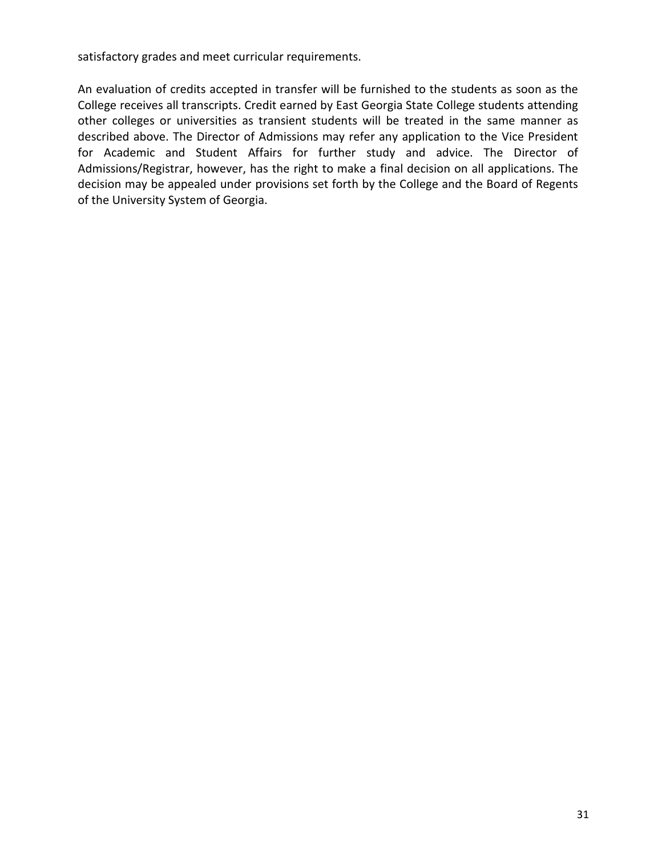satisfactory grades and meet curricular requirements.

An evaluation of credits accepted in transfer will be furnished to the students as soon as the College receives all transcripts. Credit earned by East Georgia State College students attending other colleges or universities as transient students will be treated in the same manner as described above. The Director of Admissions may refer any application to the Vice President for Academic and Student Affairs for further study and advice. The Director of Admissions/Registrar, however, has the right to make a final decision on all applications. The decision may be appealed under provisions set forth by the College and the Board of Regents of the University System of Georgia.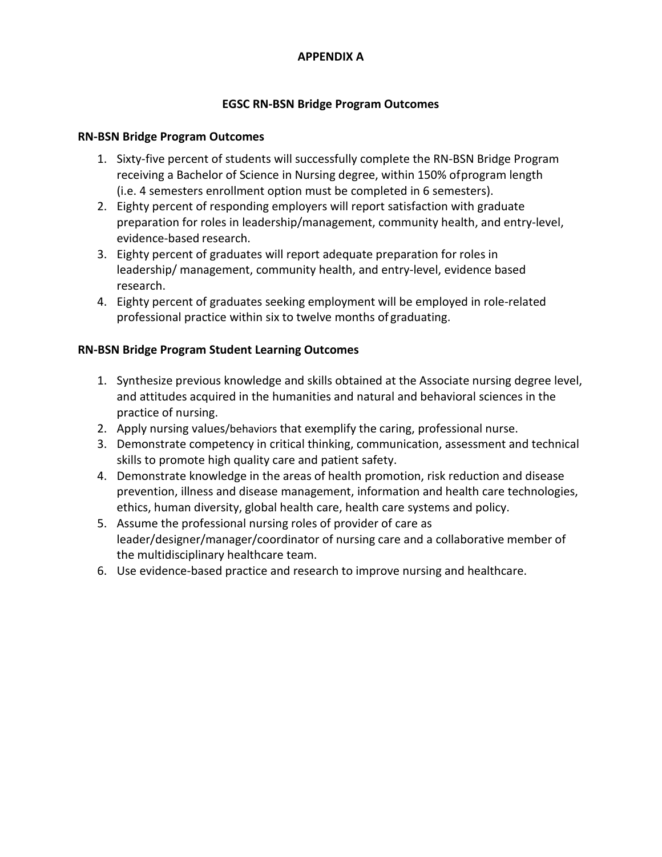## **APPENDIX A**

## **EGSC RN-BSN Bridge Program Outcomes**

## **RN-BSN Bridge Program Outcomes**

- 1. Sixty-five percent of students will successfully complete the RN-BSN Bridge Program receiving a Bachelor of Science in Nursing degree, within 150% ofprogram length (i.e. 4 semesters enrollment option must be completed in 6 semesters).
- 2. Eighty percent of responding employers will report satisfaction with graduate preparation for roles in leadership/management, community health, and entry-level, evidence-based research.
- 3. Eighty percent of graduates will report adequate preparation for roles in leadership/ management, community health, and entry-level, evidence based research.
- 4. Eighty percent of graduates seeking employment will be employed in role-related professional practice within six to twelve months of graduating.

## **RN-BSN Bridge Program Student Learning Outcomes**

- 1. Synthesize previous knowledge and skills obtained at the Associate nursing degree level, and attitudes acquired in the humanities and natural and behavioral sciences in the practice of nursing.
- 2. Apply nursing values/behaviors that exemplify the caring, professional nurse.
- 3. Demonstrate competency in critical thinking, communication, assessment and technical skills to promote high quality care and patient safety.
- 4. Demonstrate knowledge in the areas of health promotion, risk reduction and disease prevention, illness and disease management, information and health care technologies, ethics, human diversity, global health care, health care systems and policy.
- 5. Assume the professional nursing roles of provider of care as leader/designer/manager/coordinator of nursing care and a collaborative member of the multidisciplinary healthcare team.
- 6. Use evidence-based practice and research to improve nursing and healthcare.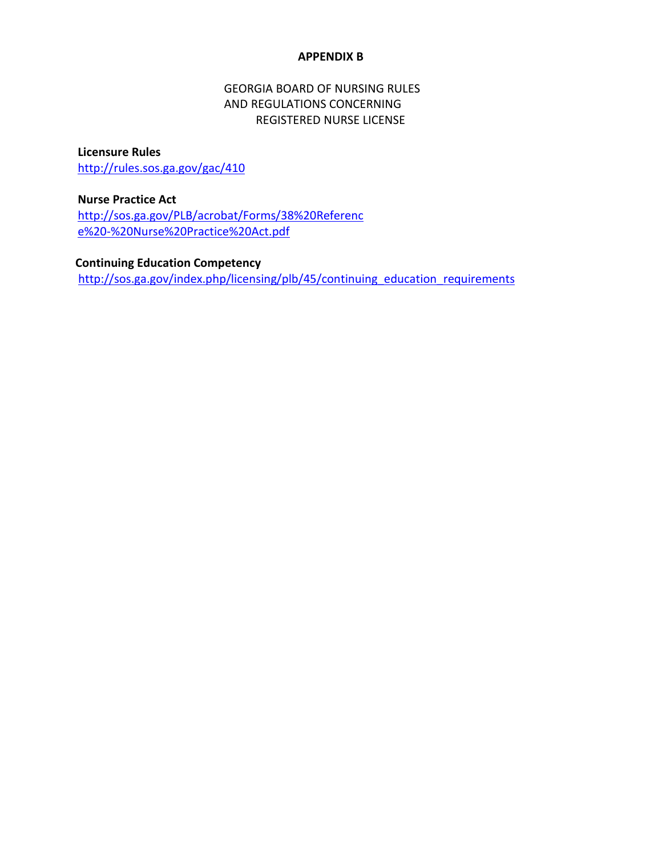#### **APPENDIX B**

## GEORGIA BOARD OF NURSING RULES AND REGULATIONS CONCERNING REGISTERED NURSE LICENSE

#### **Licensure Rules**

<http://rules.sos.ga.gov/gac/410>

## **Nurse Practice Act**

[http://sos.ga.gov/PLB/acrobat/Forms/38%20Referenc](http://sos.ga.gov/PLB/acrobat/Forms/38%20Reference%20-%20Nurse%20Practice%20Act.pdf) [e%20-%20Nurse%20Practice%20Act.pdf](http://sos.ga.gov/PLB/acrobat/Forms/38%20Reference%20-%20Nurse%20Practice%20Act.pdf)

## **Continuing Education Competency**

[http://sos.ga.gov/index.php/licensing/plb/45/continuing\\_education\\_requirements](http://sos.ga.gov/index.php/licensing/plb/45/continuing_education_requirements)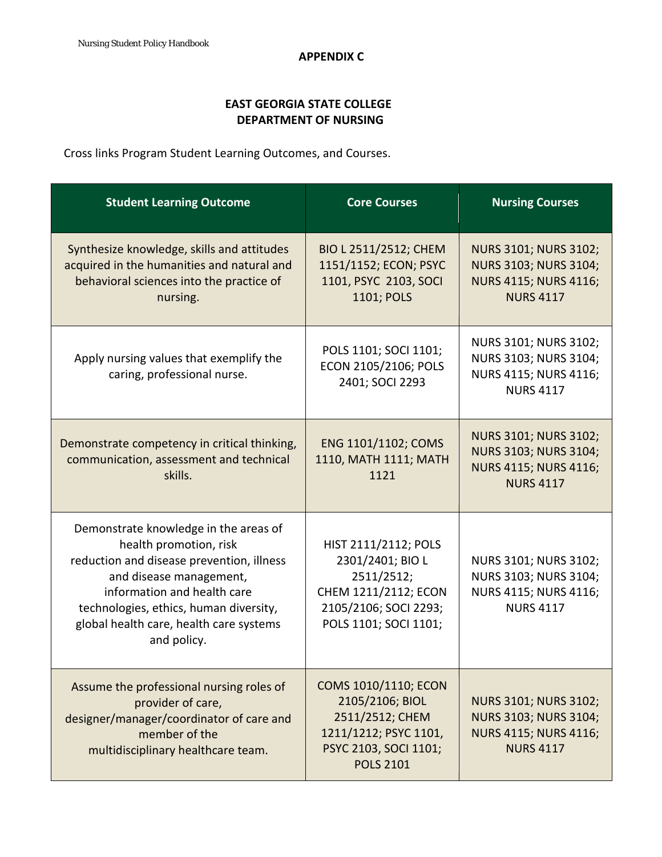## **EAST GEORGIA STATE COLLEGE DEPARTMENT OF NURSING**

Cross links Program Student Learning Outcomes, and Courses.

| <b>Student Learning Outcome</b>                                                                                                                                                                                                                                            | <b>Core Courses</b>                                                                                                                     | <b>Nursing Courses</b>                                                                                    |
|----------------------------------------------------------------------------------------------------------------------------------------------------------------------------------------------------------------------------------------------------------------------------|-----------------------------------------------------------------------------------------------------------------------------------------|-----------------------------------------------------------------------------------------------------------|
| Synthesize knowledge, skills and attitudes<br>acquired in the humanities and natural and<br>behavioral sciences into the practice of<br>nursing.                                                                                                                           | BIO L 2511/2512; CHEM<br>1151/1152; ECON; PSYC<br>1101, PSYC 2103, SOCI<br>1101; POLS                                                   | <b>NURS 3101; NURS 3102;</b><br>NURS 3103; NURS 3104;<br>NURS 4115; NURS 4116;<br><b>NURS 4117</b>        |
| Apply nursing values that exemplify the<br>caring, professional nurse.                                                                                                                                                                                                     | POLS 1101; SOCI 1101;<br>ECON 2105/2106; POLS<br>2401; SOCI 2293                                                                        | NURS 3101; NURS 3102;<br>NURS 3103; NURS 3104;<br>NURS 4115; NURS 4116;<br><b>NURS 4117</b>               |
| Demonstrate competency in critical thinking,<br>communication, assessment and technical<br>skills.                                                                                                                                                                         | ENG 1101/1102; COMS<br>1110, MATH 1111; MATH<br>1121                                                                                    | <b>NURS 3101; NURS 3102;</b><br>NURS 3103; NURS 3104;<br><b>NURS 4115; NURS 4116;</b><br><b>NURS 4117</b> |
| Demonstrate knowledge in the areas of<br>health promotion, risk<br>reduction and disease prevention, illness<br>and disease management,<br>information and health care<br>technologies, ethics, human diversity,<br>global health care, health care systems<br>and policy. | HIST 2111/2112; POLS<br>2301/2401; BIO L<br>2511/2512;<br>CHEM 1211/2112; ECON<br>2105/2106; SOCI 2293;<br>POLS 1101; SOCI 1101;        | NURS 3101; NURS 3102;<br>NURS 3103; NURS 3104;<br>NURS 4115; NURS 4116;<br><b>NURS 4117</b>               |
| Assume the professional nursing roles of<br>provider of care,<br>designer/manager/coordinator of care and<br>member of the<br>multidisciplinary healthcare team.                                                                                                           | <b>COMS 1010/1110; ECON</b><br>2105/2106; BIOL<br>2511/2512; CHEM<br>1211/1212; PSYC 1101,<br>PSYC 2103, SOCI 1101;<br><b>POLS 2101</b> | NURS 3101; NURS 3102;<br>NURS 3103; NURS 3104;<br><b>NURS 4115; NURS 4116;</b><br><b>NURS 4117</b>        |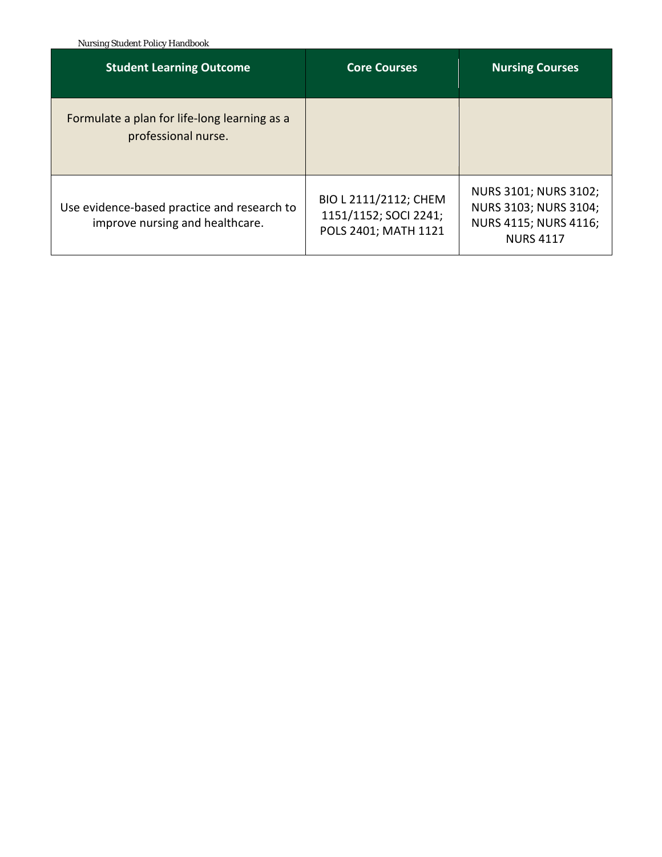Nursing Student Policy Handbook

| <b>Student Learning Outcome</b>                                                | <b>Core Courses</b>                                                    | <b>Nursing Courses</b>                                                                      |  |
|--------------------------------------------------------------------------------|------------------------------------------------------------------------|---------------------------------------------------------------------------------------------|--|
| Formulate a plan for life-long learning as a<br>professional nurse.            |                                                                        |                                                                                             |  |
| Use evidence-based practice and research to<br>improve nursing and healthcare. | BIO L 2111/2112; CHEM<br>1151/1152; SOCI 2241;<br>POLS 2401; MATH 1121 | NURS 3101; NURS 3102;<br>NURS 3103; NURS 3104;<br>NURS 4115; NURS 4116;<br><b>NURS 4117</b> |  |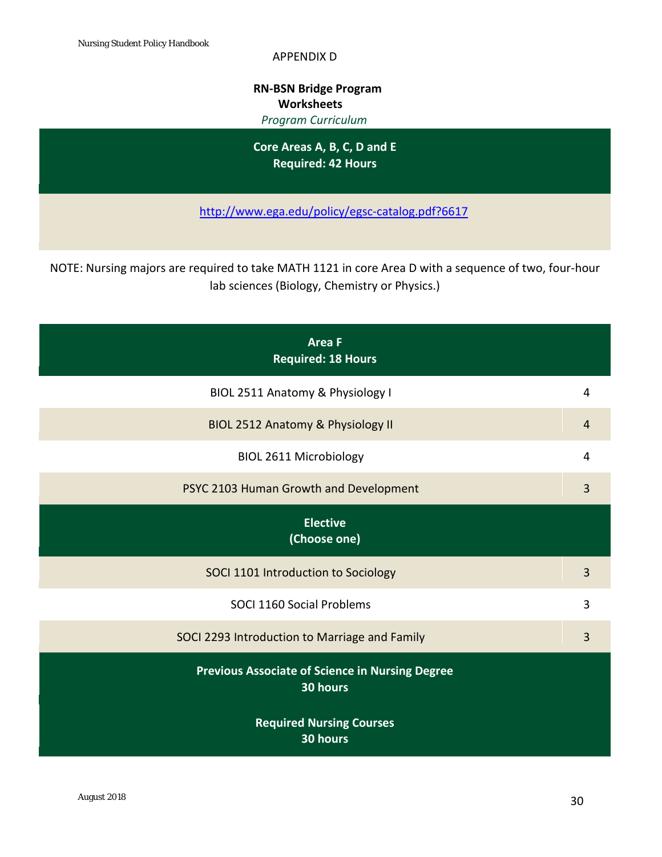APPENDIX D

## **RN-BSN Bridge Program Worksheets**  *Program Curriculum*

**Core Areas A, B, C, D and E Required: 42 Hours**

<http://www.ega.edu/policy/egsc-catalog.pdf?6617>

NOTE: Nursing majors are required to take MATH 1121 in core Area D with a sequence of two, four-hour lab sciences (Biology, Chemistry or Physics.)

| <b>Area F</b><br><b>Required: 18 Hours</b>                         |                |
|--------------------------------------------------------------------|----------------|
| BIOL 2511 Anatomy & Physiology I                                   | 4              |
| BIOL 2512 Anatomy & Physiology II                                  | 4              |
| <b>BIOL 2611 Microbiology</b>                                      | 4              |
| PSYC 2103 Human Growth and Development                             | 3              |
| <b>Elective</b><br>(Choose one)                                    |                |
| SOCI 1101 Introduction to Sociology                                | 3              |
| SOCI 1160 Social Problems                                          | 3              |
| SOCI 2293 Introduction to Marriage and Family                      | $\overline{3}$ |
| <b>Previous Associate of Science in Nursing Degree</b><br>30 hours |                |
| <b>Required Nursing Courses</b><br>30 hours                        |                |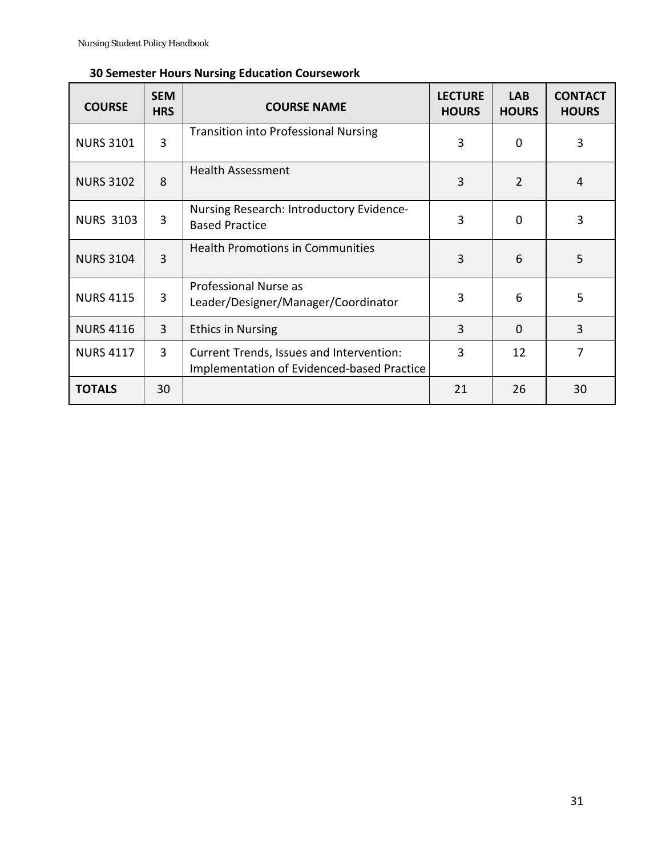| <b>COURSE</b>    | <b>SEM</b><br><b>HRS</b> | <b>COURSE NAME</b>                                                                     | <b>LECTURE</b><br><b>HOURS</b> | <b>LAB</b><br><b>HOURS</b> | <b>CONTACT</b><br><b>HOURS</b> |
|------------------|--------------------------|----------------------------------------------------------------------------------------|--------------------------------|----------------------------|--------------------------------|
| <b>NURS 3101</b> | 3                        | <b>Transition into Professional Nursing</b>                                            | 3                              | $\Omega$                   | 3                              |
| <b>NURS 3102</b> | 8                        | <b>Health Assessment</b>                                                               | 3                              | $\overline{2}$             | 4                              |
| <b>NURS 3103</b> | 3                        | Nursing Research: Introductory Evidence-<br><b>Based Practice</b>                      | 3                              | $\Omega$                   | 3                              |
| <b>NURS 3104</b> | 3                        | <b>Health Promotions in Communities</b>                                                | 3                              | 6                          | 5                              |
| <b>NURS 4115</b> | 3                        | Professional Nurse as<br>Leader/Designer/Manager/Coordinator                           | 3                              | 6                          | 5                              |
| <b>NURS 4116</b> | 3                        | <b>Ethics in Nursing</b>                                                               | 3                              | $\Omega$                   | 3                              |
| <b>NURS 4117</b> | 3                        | Current Trends, Issues and Intervention:<br>Implementation of Evidenced-based Practice | 3                              | 12                         | 7                              |
| <b>TOTALS</b>    | 30                       |                                                                                        | 21                             | 26                         | 30                             |

# **30 Semester Hours Nursing Education Coursework**